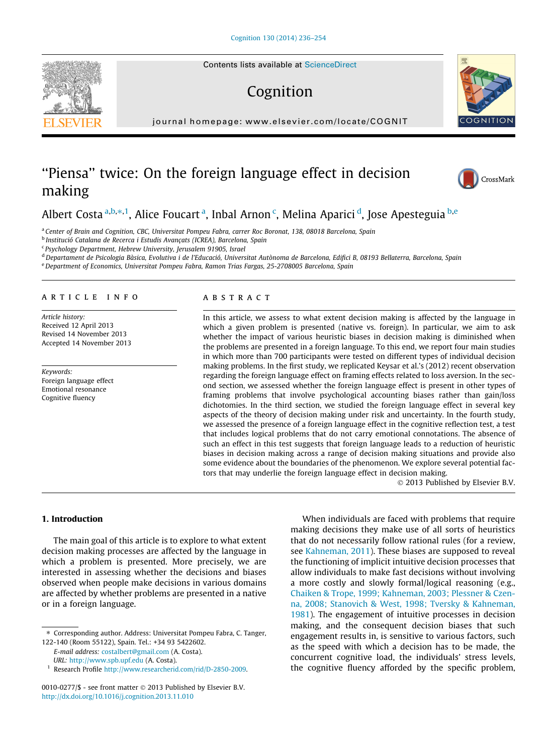Contents lists available at [ScienceDirect](http://www.sciencedirect.com/science/journal/00100277)

# Cognition

journal homepage: [www.elsevier.com/locate/COGNIT](http://www.elsevier.com/locate/COGNIT)

# "Piensa" twice: On the foreign language effect in decision making

Albert Costa <sup>a,b, $\ast$ ,1, Alice Foucart <sup>a</sup>, Inbal Arnon <sup>c</sup>, Melina Aparici <sup>d</sup>, Jose Apesteguia <sup>b,e</sup></sup>

<sup>a</sup> Center of Brain and Cognition, CBC, Universitat Pompeu Fabra, carrer Roc Boronat, 138, 08018 Barcelona, Spain

<sup>b</sup> Institució Catalana de Recerca i Estudis Avançats (ICREA), Barcelona, Spain

<sup>c</sup> Psychology Department, Hebrew University, Jerusalem 91905, Israel

<sup>d</sup> Departament de Psicologia Bàsica, Evolutiva i de l'Educació, Universitat Autònoma de Barcelona, Edifici B, 08193 Bellaterra, Barcelona, Spain

e Department of Economics, Universitat Pompeu Fabra, Ramon Trias Fargas, 25-2708005 Barcelona, Spain

# article info

Article history: Received 12 April 2013 Revised 14 November 2013 Accepted 14 November 2013

Keywords: Foreign language effect Emotional resonance Cognitive fluency

# **ABSTRACT**

In this article, we assess to what extent decision making is affected by the language in which a given problem is presented (native vs. foreign). In particular, we aim to ask whether the impact of various heuristic biases in decision making is diminished when the problems are presented in a foreign language. To this end, we report four main studies in which more than 700 participants were tested on different types of individual decision making problems. In the first study, we replicated Keysar et al.'s (2012) recent observation regarding the foreign language effect on framing effects related to loss aversion. In the second section, we assessed whether the foreign language effect is present in other types of framing problems that involve psychological accounting biases rather than gain/loss dichotomies. In the third section, we studied the foreign language effect in several key aspects of the theory of decision making under risk and uncertainty. In the fourth study, we assessed the presence of a foreign language effect in the cognitive reflection test, a test that includes logical problems that do not carry emotional connotations. The absence of such an effect in this test suggests that foreign language leads to a reduction of heuristic biases in decision making across a range of decision making situations and provide also some evidence about the boundaries of the phenomenon. We explore several potential factors that may underlie the foreign language effect in decision making.

© 2013 Published by Elsevier B.V.

### 1. Introduction

The main goal of this article is to explore to what extent decision making processes are affected by the language in which a problem is presented. More precisely, we are interested in assessing whether the decisions and biases observed when people make decisions in various domains are affected by whether problems are presented in a native or in a foreign language.

E-mail address: [costalbert@gmail.com](mailto:costalbert@gmail.com) (A. Costa). URL: <http://www.spb.upf.edu> (A. Costa).

When individuals are faced with problems that require making decisions they make use of all sorts of heuristics that do not necessarily follow rational rules (for a review, see [Kahneman, 2011\)](#page-18-0). These biases are supposed to reveal the functioning of implicit intuitive decision processes that allow individuals to make fast decisions without involving a more costly and slowly formal/logical reasoning (e.g., [Chaiken & Trope, 1999; Kahneman, 2003; Plessner & Czen](#page-18-0)[na, 2008; Stanovich & West, 1998; Tversky & Kahneman,](#page-18-0) [1981](#page-18-0)). The engagement of intuitive processes in decision making, and the consequent decision biases that such engagement results in, is sensitive to various factors, such as the speed with which a decision has to be made, the concurrent cognitive load, the individuals' stress levels, the cognitive fluency afforded by the specific problem,





CrossMark

<sup>⇑</sup> Corresponding author. Address: Universitat Pompeu Fabra, C. Tanger, 122-140 (Room 55122), Spain. Tel.: +34 93 5422602.

<sup>1</sup> Research Profile <http://www.researcherid.com/rid/D-2850-2009>.

<sup>0010-0277/\$ -</sup> see front matter © 2013 Published by Elsevier B.V. <http://dx.doi.org/10.1016/j.cognition.2013.11.010>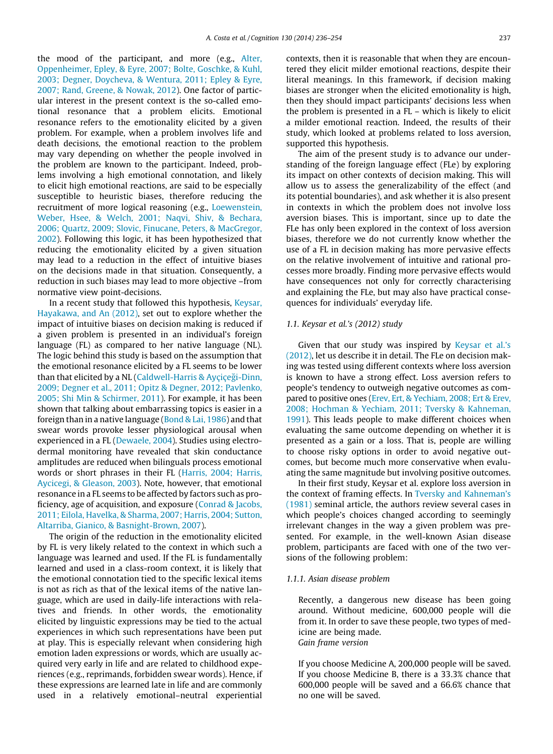the mood of the participant, and more (e.g., [Alter,](#page-18-0) [Oppenheimer, Epley, & Eyre, 2007; Bolte, Goschke, & Kuhl,](#page-18-0) [2003; Degner, Doycheva, & Wentura, 2011; Epley & Eyre,](#page-18-0) [2007; Rand, Greene, & Nowak, 2012\)](#page-18-0). One factor of particular interest in the present context is the so-called emotional resonance that a problem elicits. Emotional resonance refers to the emotionality elicited by a given problem. For example, when a problem involves life and death decisions, the emotional reaction to the problem may vary depending on whether the people involved in the problem are known to the participant. Indeed, problems involving a high emotional connotation, and likely to elicit high emotional reactions, are said to be especially susceptible to heuristic biases, therefore reducing the recruitment of more logical reasoning (e.g., [Loewenstein,](#page-18-0) [Weber, Hsee, & Welch, 2001; Naqvi, Shiv, & Bechara,](#page-18-0) [2006; Quartz, 2009; Slovic, Finucane, Peters, & MacGregor,](#page-18-0) [2002\)](#page-18-0). Following this logic, it has been hypothesized that reducing the emotionality elicited by a given situation may lead to a reduction in the effect of intuitive biases on the decisions made in that situation. Consequently, a reduction in such biases may lead to more objective –from normative view point-decisions.

In a recent study that followed this hypothesis, [Keysar,](#page-18-0) [Hayakawa, and An \(2012\),](#page-18-0) set out to explore whether the impact of intuitive biases on decision making is reduced if a given problem is presented in an individual's foreign language (FL) as compared to her native language (NL). The logic behind this study is based on the assumption that the emotional resonance elicited by a FL seems to be lower than that elicited by a NL (Caldwell-Harris & Ayçiçeği-Dinn, [2009; Degner et al., 2011; Opitz & Degner, 2012; Pavlenko,](#page-18-0) [2005; Shi Min & Schirmer, 2011](#page-18-0)). For example, it has been shown that talking about embarrassing topics is easier in a foreign than in a native language ([Bond & Lai, 1986\)](#page-18-0) and that swear words provoke lesser physiological arousal when experienced in a FL [\(Dewaele, 2004\)](#page-18-0). Studies using electrodermal monitoring have revealed that skin conductance amplitudes are reduced when bilinguals process emotional words or short phrases in their FL ([Harris, 2004; Harris,](#page-18-0) [Aycicegi, & Gleason, 2003](#page-18-0)). Note, however, that emotional resonance in a FL seems to be affected by factors such as proficiency, age of acquisition, and exposure ([Conrad & Jacobs,](#page-18-0) [2011; Eilola, Havelka, & Sharma, 2007; Harris, 2004; Sutton,](#page-18-0) [Altarriba, Gianico, & Basnight-Brown, 2007](#page-18-0)).

The origin of the reduction in the emotionality elicited by FL is very likely related to the context in which such a language was learned and used. If the FL is fundamentally learned and used in a class-room context, it is likely that the emotional connotation tied to the specific lexical items is not as rich as that of the lexical items of the native language, which are used in daily-life interactions with relatives and friends. In other words, the emotionality elicited by linguistic expressions may be tied to the actual experiences in which such representations have been put at play. This is especially relevant when considering high emotion laden expressions or words, which are usually acquired very early in life and are related to childhood experiences (e.g., reprimands, forbidden swear words). Hence, if these expressions are learned late in life and are commonly used in a relatively emotional–neutral experiential

contexts, then it is reasonable that when they are encountered they elicit milder emotional reactions, despite their literal meanings. In this framework, if decision making biases are stronger when the elicited emotionality is high, then they should impact participants' decisions less when the problem is presented in a FL – which is likely to elicit a milder emotional reaction. Indeed, the results of their study, which looked at problems related to loss aversion, supported this hypothesis.

The aim of the present study is to advance our understanding of the foreign language effect (FLe) by exploring its impact on other contexts of decision making. This will allow us to assess the generalizability of the effect (and its potential boundaries), and ask whether it is also present in contexts in which the problem does not involve loss aversion biases. This is important, since up to date the FLe has only been explored in the context of loss aversion biases, therefore we do not currently know whether the use of a FL in decision making has more pervasive effects on the relative involvement of intuitive and rational processes more broadly. Finding more pervasive effects would have consequences not only for correctly characterising and explaining the FLe, but may also have practical consequences for individuals' everyday life.

#### 1.1. Keysar et al.'s (2012) study

Given that our study was inspired by [Keysar et al.'s](#page-18-0) [\(2012\),](#page-18-0) let us describe it in detail. The FLe on decision making was tested using different contexts where loss aversion is known to have a strong effect. Loss aversion refers to people's tendency to outweigh negative outcomes as compared to positive ones [\(Erev, Ert, & Yechiam, 2008; Ert & Erev,](#page-18-0) [2008; Hochman & Yechiam, 2011; Tversky & Kahneman,](#page-18-0) [1991\)](#page-18-0). This leads people to make different choices when evaluating the same outcome depending on whether it is presented as a gain or a loss. That is, people are willing to choose risky options in order to avoid negative outcomes, but become much more conservative when evaluating the same magnitude but involving positive outcomes.

In their first study, Keysar et al. explore loss aversion in the context of framing effects. In [Tversky and Kahneman's](#page-18-0) [\(1981\)](#page-18-0) seminal article, the authors review several cases in which people's choices changed according to seemingly irrelevant changes in the way a given problem was presented. For example, in the well-known Asian disease problem, participants are faced with one of the two versions of the following problem:

#### 1.1.1. Asian disease problem

Recently, a dangerous new disease has been going around. Without medicine, 600,000 people will die from it. In order to save these people, two types of medicine are being made. Gain frame version

If you choose Medicine A, 200,000 people will be saved. If you choose Medicine B, there is a 33.3% chance that 600,000 people will be saved and a 66.6% chance that no one will be saved.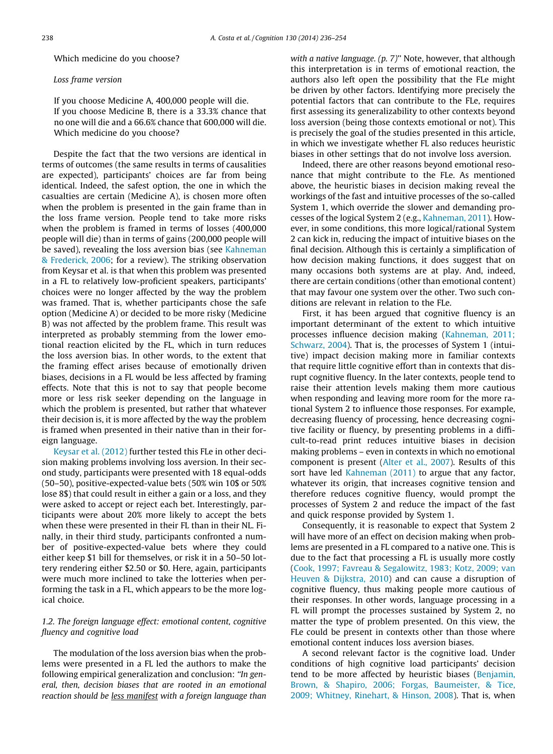Which medicine do you choose?

#### Loss frame version

If you choose Medicine A, 400,000 people will die. If you choose Medicine B, there is a 33.3% chance that no one will die and a 66.6% chance that 600,000 will die. Which medicine do you choose?

Despite the fact that the two versions are identical in terms of outcomes (the same results in terms of causalities are expected), participants' choices are far from being identical. Indeed, the safest option, the one in which the casualties are certain (Medicine A), is chosen more often when the problem is presented in the gain frame than in the loss frame version. People tend to take more risks when the problem is framed in terms of losses (400,000 people will die) than in terms of gains (200,000 people will be saved), revealing the loss aversion bias (see [Kahneman](#page-18-0) [& Frederick, 2006;](#page-18-0) for a review). The striking observation from Keysar et al. is that when this problem was presented in a FL to relatively low-proficient speakers, participants' choices were no longer affected by the way the problem was framed. That is, whether participants chose the safe option (Medicine A) or decided to be more risky (Medicine B) was not affected by the problem frame. This result was interpreted as probably stemming from the lower emotional reaction elicited by the FL, which in turn reduces the loss aversion bias. In other words, to the extent that the framing effect arises because of emotionally driven biases, decisions in a FL would be less affected by framing effects. Note that this is not to say that people become more or less risk seeker depending on the language in which the problem is presented, but rather that whatever their decision is, it is more affected by the way the problem is framed when presented in their native than in their foreign language.

[Keysar et al. \(2012\)](#page-18-0) further tested this FLe in other decision making problems involving loss aversion. In their second study, participants were presented with 18 equal-odds (50–50), positive-expected-value bets (50% win 10\$ or 50% lose 8\$) that could result in either a gain or a loss, and they were asked to accept or reject each bet. Interestingly, participants were about 20% more likely to accept the bets when these were presented in their FL than in their NL. Finally, in their third study, participants confronted a number of positive-expected-value bets where they could either keep \$1 bill for themselves, or risk it in a 50–50 lottery rendering either \$2.50 or \$0. Here, again, participants were much more inclined to take the lotteries when performing the task in a FL, which appears to be the more logical choice.

# 1.2. The foreign language effect: emotional content, cognitive fluency and cognitive load

The modulation of the loss aversion bias when the problems were presented in a FL led the authors to make the following empirical generalization and conclusion: ''In general, then, decision biases that are rooted in an emotional reaction should be less manifest with a foreign language than

with a native language. (p. 7)" Note, however, that although this interpretation is in terms of emotional reaction, the authors also left open the possibility that the FLe might be driven by other factors. Identifying more precisely the potential factors that can contribute to the FLe, requires first assessing its generalizability to other contexts beyond loss aversion (being those contexts emotional or not). This is precisely the goal of the studies presented in this article, in which we investigate whether FL also reduces heuristic biases in other settings that do not involve loss aversion.

Indeed, there are other reasons beyond emotional resonance that might contribute to the FLe. As mentioned above, the heuristic biases in decision making reveal the workings of the fast and intuitive processes of the so-called System 1, which override the slower and demanding processes of the logical System 2 (e.g., [Kahneman, 2011\)](#page-18-0). However, in some conditions, this more logical/rational System 2 can kick in, reducing the impact of intuitive biases on the final decision. Although this is certainly a simplification of how decision making functions, it does suggest that on many occasions both systems are at play. And, indeed, there are certain conditions (other than emotional content) that may favour one system over the other. Two such conditions are relevant in relation to the FLe.

First, it has been argued that cognitive fluency is an important determinant of the extent to which intuitive processes influence decision making [\(Kahneman, 2011;](#page-18-0) [Schwarz, 2004\)](#page-18-0). That is, the processes of System 1 (intuitive) impact decision making more in familiar contexts that require little cognitive effort than in contexts that disrupt cognitive fluency. In the later contexts, people tend to raise their attention levels making them more cautious when responding and leaving more room for the more rational System 2 to influence those responses. For example, decreasing fluency of processing, hence decreasing cognitive facility or fluency, by presenting problems in a difficult-to-read print reduces intuitive biases in decision making problems – even in contexts in which no emotional component is present [\(Alter et al., 2007](#page-18-0)). Results of this sort have led [Kahneman \(2011\)](#page-18-0) to argue that any factor, whatever its origin, that increases cognitive tension and therefore reduces cognitive fluency, would prompt the processes of System 2 and reduce the impact of the fast and quick response provided by System 1.

Consequently, it is reasonable to expect that System 2 will have more of an effect on decision making when problems are presented in a FL compared to a native one. This is due to the fact that processing a FL is usually more costly [\(Cook, 1997; Favreau & Segalowitz, 1983; Kotz, 2009; van](#page-18-0) [Heuven & Dijkstra, 2010\)](#page-18-0) and can cause a disruption of cognitive fluency, thus making people more cautious of their responses. In other words, language processing in a FL will prompt the processes sustained by System 2, no matter the type of problem presented. On this view, the FLe could be present in contexts other than those where emotional content induces loss aversion biases.

A second relevant factor is the cognitive load. Under conditions of high cognitive load participants' decision tend to be more affected by heuristic biases ([Benjamin,](#page-18-0) [Brown, & Shapiro, 2006; Forgas, Baumeister, & Tice,](#page-18-0) [2009; Whitney, Rinehart, & Hinson, 2008\)](#page-18-0). That is, when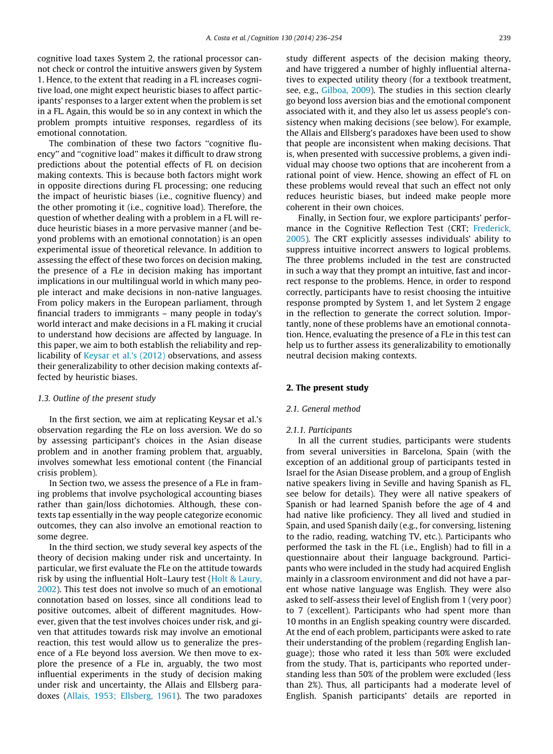<span id="page-3-0"></span>cognitive load taxes System 2, the rational processor cannot check or control the intuitive answers given by System 1. Hence, to the extent that reading in a FL increases cognitive load, one might expect heuristic biases to affect participants' responses to a larger extent when the problem is set in a FL. Again, this would be so in any context in which the problem prompts intuitive responses, regardless of its emotional connotation.

The combination of these two factors ''cognitive fluency'' and ''cognitive load'' makes it difficult to draw strong predictions about the potential effects of FL on decision making contexts. This is because both factors might work in opposite directions during FL processing; one reducing the impact of heuristic biases (i.e., cognitive fluency) and the other promoting it (i.e., cognitive load). Therefore, the question of whether dealing with a problem in a FL will reduce heuristic biases in a more pervasive manner (and beyond problems with an emotional connotation) is an open experimental issue of theoretical relevance. In addition to assessing the effect of these two forces on decision making, the presence of a FLe in decision making has important implications in our multilingual world in which many people interact and make decisions in non-native languages. From policy makers in the European parliament, through financial traders to immigrants – many people in today's world interact and make decisions in a FL making it crucial to understand how decisions are affected by language. In this paper, we aim to both establish the reliability and replicability of [Keysar et al.'s \(2012\)](#page-18-0) observations, and assess their generalizability to other decision making contexts affected by heuristic biases.

#### 1.3. Outline of the present study

In the first section, we aim at replicating Keysar et al.'s observation regarding the FLe on loss aversion. We do so by assessing participant's choices in the Asian disease problem and in another framing problem that, arguably, involves somewhat less emotional content (the Financial crisis problem).

In Section two, we assess the presence of a FLe in framing problems that involve psychological accounting biases rather than gain/loss dichotomies. Although, these contexts tap essentially in the way people categorize economic outcomes, they can also involve an emotional reaction to some degree.

In the third section, we study several key aspects of the theory of decision making under risk and uncertainty. In particular, we first evaluate the FLe on the attitude towards risk by using the influential Holt–Laury test [\(Holt & Laury,](#page-18-0) [2002\)](#page-18-0). This test does not involve so much of an emotional connotation based on losses, since all conditions lead to positive outcomes, albeit of different magnitudes. However, given that the test involves choices under risk, and given that attitudes towards risk may involve an emotional reaction, this test would allow us to generalize the presence of a FLe beyond loss aversion. We then move to explore the presence of a FLe in, arguably, the two most influential experiments in the study of decision making under risk and uncertainty, the Allais and Ellsberg paradoxes ([Allais, 1953; Ellsberg, 1961\)](#page-18-0). The two paradoxes study different aspects of the decision making theory, and have triggered a number of highly influential alternatives to expected utility theory (for a textbook treatment, see, e.g., [Gilboa, 2009\)](#page-18-0). The studies in this section clearly go beyond loss aversion bias and the emotional component associated with it, and they also let us assess people's consistency when making decisions (see below). For example, the Allais and Ellsberg's paradoxes have been used to show that people are inconsistent when making decisions. That is, when presented with successive problems, a given individual may choose two options that are incoherent from a rational point of view. Hence, showing an effect of FL on these problems would reveal that such an effect not only reduces heuristic biases, but indeed make people more coherent in their own choices.

Finally, in Section four, we explore participants' performance in the Cognitive Reflection Test (CRT; [Frederick,](#page-18-0) [2005\)](#page-18-0). The CRT explicitly assesses individuals' ability to suppress intuitive incorrect answers to logical problems. The three problems included in the test are constructed in such a way that they prompt an intuitive, fast and incorrect response to the problems. Hence, in order to respond correctly, participants have to resist choosing the intuitive response prompted by System 1, and let System 2 engage in the reflection to generate the correct solution. Importantly, none of these problems have an emotional connotation. Hence, evaluating the presence of a FLe in this test can help us to further assess its generalizability to emotionally neutral decision making contexts.

#### 2. The present study

# 2.1. General method

#### 2.1.1. Participants

In all the current studies, participants were students from several universities in Barcelona, Spain (with the exception of an additional group of participants tested in Israel for the Asian Disease problem, and a group of English native speakers living in Seville and having Spanish as FL, see below for details). They were all native speakers of Spanish or had learned Spanish before the age of 4 and had native like proficiency. They all lived and studied in Spain, and used Spanish daily (e.g., for conversing, listening to the radio, reading, watching TV, etc.). Participants who performed the task in the FL (i.e., English) had to fill in a questionnaire about their language background. Participants who were included in the study had acquired English mainly in a classroom environment and did not have a parent whose native language was English. They were also asked to self-assess their level of English from 1 (very poor) to 7 (excellent). Participants who had spent more than 10 months in an English speaking country were discarded. At the end of each problem, participants were asked to rate their understanding of the problem (regarding English language); those who rated it less than 50% were excluded from the study. That is, participants who reported understanding less than 50% of the problem were excluded (less than 2%). Thus, all participants had a moderate level of English. Spanish participants' details are reported in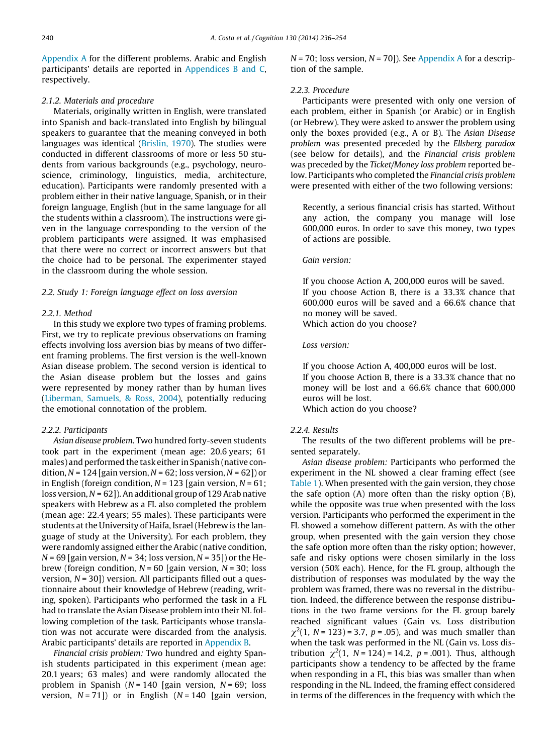[Appendix A](#page-17-0) for the different problems. Arabic and English participants' details are reported in [Appendices B and C](#page-17-0), respectively.

#### 2.1.2. Materials and procedure

Materials, originally written in English, were translated into Spanish and back-translated into English by bilingual speakers to guarantee that the meaning conveyed in both languages was identical [\(Brislin, 1970\)](#page-18-0). The studies were conducted in different classrooms of more or less 50 students from various backgrounds (e.g., psychology, neuroscience, criminology, linguistics, media, architecture, education). Participants were randomly presented with a problem either in their native language, Spanish, or in their foreign language, English (but in the same language for all the students within a classroom). The instructions were given in the language corresponding to the version of the problem participants were assigned. It was emphasised that there were no correct or incorrect answers but that the choice had to be personal. The experimenter stayed in the classroom during the whole session.

### 2.2. Study 1: Foreign language effect on loss aversion

#### 2.2.1. Method

In this study we explore two types of framing problems. First, we try to replicate previous observations on framing effects involving loss aversion bias by means of two different framing problems. The first version is the well-known Asian disease problem. The second version is identical to the Asian disease problem but the losses and gains were represented by money rather than by human lives [\(Liberman, Samuels, & Ross, 2004](#page-18-0)), potentially reducing the emotional connotation of the problem.

#### 2.2.2. Participants

Asian disease problem. Two hundred forty-seven students took part in the experiment (mean age: 20.6 years; 61 males) and performed the task either in Spanish (native condition,  $N = 124$  [gain version,  $N = 62$ ; loss version,  $N = 62$ ]) or in English (foreign condition,  $N = 123$  [gain version,  $N = 61$ ; loss version,  $N = 62$ ]). An additional group of 129 Arab native speakers with Hebrew as a FL also completed the problem (mean age: 22.4 years; 55 males). These participants were students at the University of Haifa, Israel (Hebrew is the language of study at the University). For each problem, they were randomly assigned either the Arabic (native condition,  $N = 69$  [gain version,  $N = 34$ ; loss version,  $N = 35$ ]) or the Hebrew (foreign condition,  $N = 60$  [gain version,  $N = 30$ ; loss version,  $N = 30$ ]) version. All participants filled out a questionnaire about their knowledge of Hebrew (reading, writing, spoken). Participants who performed the task in a FL had to translate the Asian Disease problem into their NL following completion of the task. Participants whose translation was not accurate were discarded from the analysis. Arabic participants' details are reported in [Appendix B.](#page-17-0)

Financial crisis problem: Two hundred and eighty Spanish students participated in this experiment (mean age: 20.1 years; 63 males) and were randomly allocated the problem in Spanish ( $N = 140$  [gain version,  $N = 69$ ; loss version,  $N = 71$ ]) or in English ( $N = 140$  [gain version,  $N = 70$ ; loss version,  $N = 70$ ]). See [Appendix A](#page-17-0) for a description of the sample.

# 2.2.3. Procedure

Participants were presented with only one version of each problem, either in Spanish (or Arabic) or in English (or Hebrew). They were asked to answer the problem using only the boxes provided (e.g., A or B). The Asian Disease problem was presented preceded by the Ellsberg paradox (see below for details), and the Financial crisis problem was preceded by the Ticket/Money loss problem reported below. Participants who completed the Financial crisis problem were presented with either of the two following versions:

Recently, a serious financial crisis has started. Without any action, the company you manage will lose 600,000 euros. In order to save this money, two types of actions are possible.

#### Gain version:

If you choose Action A, 200,000 euros will be saved. If you choose Action B, there is a 33.3% chance that 600,000 euros will be saved and a 66.6% chance that no money will be saved. Which action do you choose?

#### Loss version:

If you choose Action A, 400,000 euros will be lost. If you choose Action B, there is a 33.3% chance that no money will be lost and a 66.6% chance that 600,000 euros will be lost. Which action do you choose?

# 2.2.4. Results

The results of the two different problems will be presented separately.

Asian disease problem: Participants who performed the experiment in the NL showed a clear framing effect (see [Table 1](#page-5-0)). When presented with the gain version, they chose the safe option (A) more often than the risky option (B), while the opposite was true when presented with the loss version. Participants who performed the experiment in the FL showed a somehow different pattern. As with the other group, when presented with the gain version they chose the safe option more often than the risky option; however, safe and risky options were chosen similarly in the loss version (50% each). Hence, for the FL group, although the distribution of responses was modulated by the way the problem was framed, there was no reversal in the distribution. Indeed, the difference between the response distributions in the two frame versions for the FL group barely reached significant values (Gain vs. Loss distribution  $\chi^2(1, N = 123) = 3.7, p = .05$ ), and was much smaller than when the task was performed in the NL (Gain vs. Loss distribution  $\chi^2(1, N = 124) = 14.2, p = .001$ ). Thus, although participants show a tendency to be affected by the frame when responding in a FL, this bias was smaller than when responding in the NL. Indeed, the framing effect considered in terms of the differences in the frequency with which the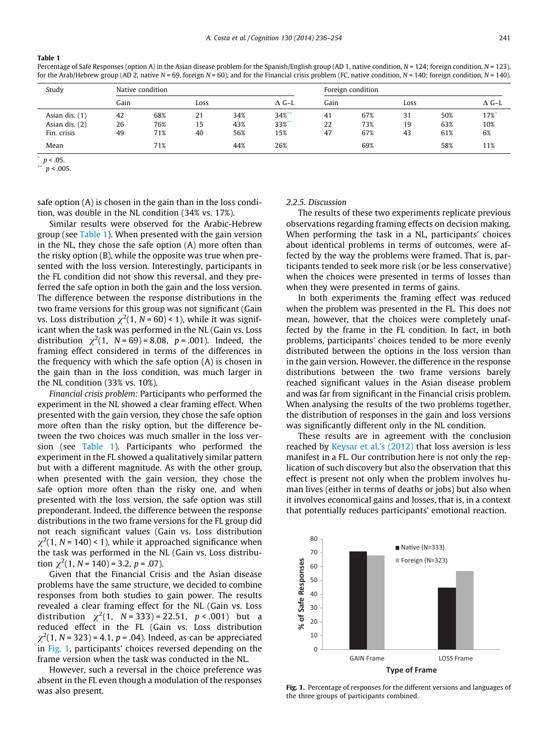#### <span id="page-5-0"></span>Table 1

Percentage of Safe Responses (option A) in the Asian disease problem for the Spanish/English group (AD 1, native condition, N = 124; foreign condition, N = 123), for the Arab/Hebrew group (AD 2, native  $N = 69$ , foreign  $N = 60$ ), and for the Financial crisis problem (FC, native condition,  $N = 140$ ; foreign condition,  $N = 140$ ).

| Study            | Native condition |     |      | Foreign condition |              |      |     |      |     |               |
|------------------|------------------|-----|------|-------------------|--------------|------|-----|------|-----|---------------|
|                  | Gain             |     | Loss |                   | $\Delta$ G-L | Gain |     | Loss |     | $\Delta G$ –L |
| Asian dis. $(1)$ | 42               | 68% | 21   | 34%               | 34%          | 41   | 67% | 31   | 50% | 17%           |
| Asian dis. $(2)$ | 26               | 76% | 15   | 43%               | $33\%$       | 22   | 73% | 19   | 63% | 10%           |
| Fin. crisis      | 49               | 71% | 40   | 56%               | 15%          | 47   | 67% | 43   | 61% | 6%            |
| Mean             |                  | 71% |      | 44%               | 26%          |      | 69% |      | 58% | 11%           |

# $p < 0.05$ .

 $p < .005$ .

safe option (A) is chosen in the gain than in the loss condition, was double in the NL condition (34% vs. 17%).

Similar results were observed for the Arabic-Hebrew group (see Table 1). When presented with the gain version in the NL, they chose the safe option (A) more often than the risky option (B), while the opposite was true when presented with the loss version. Interestingly, participants in the FL condition did not show this reversal, and they preferred the safe option in both the gain and the loss version. The difference between the response distributions in the two frame versions for this group was not significant (Gain vs. Loss distribution  $\chi^2(1, N = 60) < 1$ ), while it was significant when the task was performed in the NL (Gain vs. Loss distribution  $\chi^2(1, N = 69) = 8.08$ ,  $p = .001$ ). Indeed, the framing effect considered in terms of the differences in the frequency with which the safe option (A) is chosen in the gain than in the loss condition, was much larger in the NL condition (33% vs. 10%).

Financial crisis problem: Participants who performed the experiment in the NL showed a clear framing effect. When presented with the gain version, they chose the safe option more often than the risky option, but the difference between the two choices was much smaller in the loss version (see Table 1). Participants who performed the experiment in the FL showed a qualitatively similar pattern but with a different magnitude. As with the other group, when presented with the gain version, they chose the safe option more often than the risky one, and when presented with the loss version, the safe option was still preponderant. Indeed, the difference between the response distributions in the two frame versions for the FL group did not reach significant values (Gain vs. Loss distribution  $\chi^2(1, N = 140)$  < 1), while it approached significance when the task was performed in the NL (Gain vs. Loss distribution  $\chi^2(1, N = 140) = 3.2, p = .07$ ).

Given that the Financial Crisis and the Asian disease problems have the same structure, we decided to combine responses from both studies to gain power. The results revealed a clear framing effect for the NL (Gain vs. Loss distribution  $\chi^2(1, N = 333) = 22.51, p < .001)$  but a reduced effect in the FL (Gain vs. Loss distribution  $\chi^2(1, N = 323) = 4.1, p = .04$ ). Indeed, as can be appreciated in Fig. 1, participants' choices reversed depending on the frame version when the task was conducted in the NL.

However, such a reversal in the choice preference was absent in the FL even though a modulation of the responses was also present.

# 2.2.5. Discussion

The results of these two experiments replicate previous observations regarding framing effects on decision making. When performing the task in a NL, participants' choices about identical problems in terms of outcomes, were affected by the way the problems were framed. That is, participants tended to seek more risk (or be less conservative) when the choices were presented in terms of losses than when they were presented in terms of gains.

In both experiments the framing effect was reduced when the problem was presented in the FL. This does not mean, however, that the choices were completely unaffected by the frame in the FL condition. In fact, in both problems, participants' choices tended to be more evenly distributed between the options in the loss version than in the gain version. However, the difference in the response distributions between the two frame versions barely reached significant values in the Asian disease problem and was far from significant in the Financial crisis problem. When analysing the results of the two problems together, the distribution of responses in the gain and loss versions was significantly different only in the NL condition.

These results are in agreement with the conclusion reached by [Keysar et al.'s \(2012\)](#page-18-0) that loss aversion is less manifest in a FL. Our contribution here is not only the replication of such discovery but also the observation that this effect is present not only when the problem involves human lives (either in terms of deaths or jobs) but also when it involves economical gains and losses, that is, in a context that potentially reduces participants' emotional reaction.



Fig. 1. Percentage of responses for the different versions and languages of the three groups of participants combined.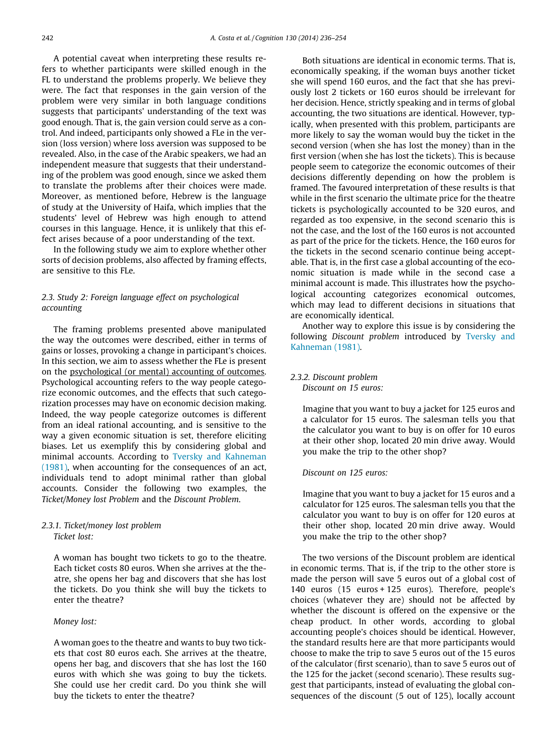A potential caveat when interpreting these results refers to whether participants were skilled enough in the FL to understand the problems properly. We believe they were. The fact that responses in the gain version of the problem were very similar in both language conditions suggests that participants' understanding of the text was good enough. That is, the gain version could serve as a control. And indeed, participants only showed a FLe in the version (loss version) where loss aversion was supposed to be revealed. Also, in the case of the Arabic speakers, we had an independent measure that suggests that their understanding of the problem was good enough, since we asked them to translate the problems after their choices were made. Moreover, as mentioned before, Hebrew is the language of study at the University of Haifa, which implies that the students' level of Hebrew was high enough to attend courses in this language. Hence, it is unlikely that this effect arises because of a poor understanding of the text.

In the following study we aim to explore whether other sorts of decision problems, also affected by framing effects, are sensitive to this FLe.

# 2.3. Study 2: Foreign language effect on psychological accounting

The framing problems presented above manipulated the way the outcomes were described, either in terms of gains or losses, provoking a change in participant's choices. In this section, we aim to assess whether the FLe is present on the psychological (or mental) accounting of outcomes. Psychological accounting refers to the way people categorize economic outcomes, and the effects that such categorization processes may have on economic decision making. Indeed, the way people categorize outcomes is different from an ideal rational accounting, and is sensitive to the way a given economic situation is set, therefore eliciting biases. Let us exemplify this by considering global and minimal accounts. According to [Tversky and Kahneman](#page-18-0) [\(1981\)](#page-18-0), when accounting for the consequences of an act, individuals tend to adopt minimal rather than global accounts. Consider the following two examples, the Ticket/Money lost Problem and the Discount Problem.

# 2.3.1. Ticket/money lost problem Ticket lost:

A woman has bought two tickets to go to the theatre. Each ticket costs 80 euros. When she arrives at the theatre, she opens her bag and discovers that she has lost the tickets. Do you think she will buy the tickets to enter the theatre?

### Money lost:

A woman goes to the theatre and wants to buy two tickets that cost 80 euros each. She arrives at the theatre, opens her bag, and discovers that she has lost the 160 euros with which she was going to buy the tickets. She could use her credit card. Do you think she will buy the tickets to enter the theatre?

Both situations are identical in economic terms. That is, economically speaking, if the woman buys another ticket she will spend 160 euros, and the fact that she has previously lost 2 tickets or 160 euros should be irrelevant for her decision. Hence, strictly speaking and in terms of global accounting, the two situations are identical. However, typically, when presented with this problem, participants are more likely to say the woman would buy the ticket in the second version (when she has lost the money) than in the first version (when she has lost the tickets). This is because people seem to categorize the economic outcomes of their decisions differently depending on how the problem is framed. The favoured interpretation of these results is that while in the first scenario the ultimate price for the theatre tickets is psychologically accounted to be 320 euros, and regarded as too expensive, in the second scenario this is not the case, and the lost of the 160 euros is not accounted as part of the price for the tickets. Hence, the 160 euros for the tickets in the second scenario continue being acceptable. That is, in the first case a global accounting of the economic situation is made while in the second case a minimal account is made. This illustrates how the psychological accounting categorizes economical outcomes, which may lead to different decisions in situations that are economically identical.

Another way to explore this issue is by considering the following Discount problem introduced by [Tversky and](#page-18-0) [Kahneman \(1981\)](#page-18-0).

# 2.3.2. Discount problem

Discount on 15 euros:

Imagine that you want to buy a jacket for 125 euros and a calculator for 15 euros. The salesman tells you that the calculator you want to buy is on offer for 10 euros at their other shop, located 20 min drive away. Would you make the trip to the other shop?

#### Discount on 125 euros:

Imagine that you want to buy a jacket for 15 euros and a calculator for 125 euros. The salesman tells you that the calculator you want to buy is on offer for 120 euros at their other shop, located 20 min drive away. Would you make the trip to the other shop?

The two versions of the Discount problem are identical in economic terms. That is, if the trip to the other store is made the person will save 5 euros out of a global cost of 140 euros (15 euros + 125 euros). Therefore, people's choices (whatever they are) should not be affected by whether the discount is offered on the expensive or the cheap product. In other words, according to global accounting people's choices should be identical. However, the standard results here are that more participants would choose to make the trip to save 5 euros out of the 15 euros of the calculator (first scenario), than to save 5 euros out of the 125 for the jacket (second scenario). These results suggest that participants, instead of evaluating the global consequences of the discount (5 out of 125), locally account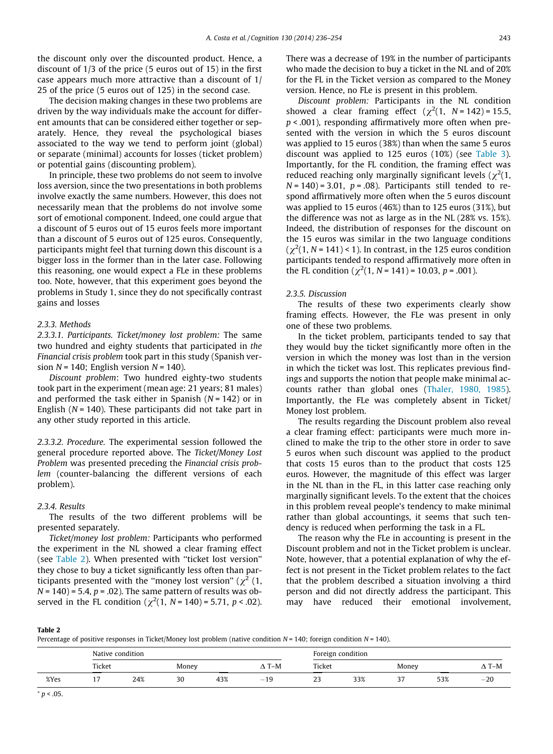the discount only over the discounted product. Hence, a discount of 1/3 of the price (5 euros out of 15) in the first case appears much more attractive than a discount of 1/ 25 of the price (5 euros out of 125) in the second case.

The decision making changes in these two problems are driven by the way individuals make the account for different amounts that can be considered either together or separately. Hence, they reveal the psychological biases associated to the way we tend to perform joint (global) or separate (minimal) accounts for losses (ticket problem) or potential gains (discounting problem).

In principle, these two problems do not seem to involve loss aversion, since the two presentations in both problems involve exactly the same numbers. However, this does not necessarily mean that the problems do not involve some sort of emotional component. Indeed, one could argue that a discount of 5 euros out of 15 euros feels more important than a discount of 5 euros out of 125 euros. Consequently, participants might feel that turning down this discount is a bigger loss in the former than in the later case. Following this reasoning, one would expect a FLe in these problems too. Note, however, that this experiment goes beyond the problems in Study 1, since they do not specifically contrast gains and losses

#### 2.3.3. Methods

2.3.3.1. Participants. Ticket/money lost problem: The same two hundred and eighty students that participated in the Financial crisis problem took part in this study (Spanish version  $N = 140$ ; English version  $N = 140$ ).

Discount problem: Two hundred eighty-two students took part in the experiment (mean age: 21 years; 81 males) and performed the task either in Spanish  $(N = 142)$  or in English ( $N = 140$ ). These participants did not take part in any other study reported in this article.

2.3.3.2. Procedure. The experimental session followed the general procedure reported above. The Ticket/Money Lost Problem was presented preceding the Financial crisis problem (counter-balancing the different versions of each problem).

# 2.3.4. Results

The results of the two different problems will be presented separately.

Ticket/money lost problem: Participants who performed the experiment in the NL showed a clear framing effect (see Table 2). When presented with ''ticket lost version'' they chose to buy a ticket significantly less often than participants presented with the "money lost version" ( $\chi^2$  (1,  $N = 140$ ) = 5.4,  $p = .02$ ). The same pattern of results was observed in the FL condition  $(\chi^2(1, N = 140) = 5.71, p < .02)$ .

There was a decrease of 19% in the number of participants who made the decision to buy a ticket in the NL and of 20% for the FL in the Ticket version as compared to the Money version. Hence, no FLe is present in this problem.

Discount problem: Participants in the NL condition showed a clear framing effect  $(\chi^2(1, N = 142) = 15.5,$  $p < .001$ ), responding affirmatively more often when presented with the version in which the 5 euros discount was applied to 15 euros (38%) than when the same 5 euros discount was applied to 125 euros (10%) (see [Table 3](#page-8-0)). Importantly, for the FL condition, the framing effect was reduced reaching only marginally significant levels ( $\chi^2(1,$  $N = 140$  = 3.01,  $p = .08$ ). Participants still tended to respond affirmatively more often when the 5 euros discount was applied to 15 euros (46%) than to 125 euros (31%), but the difference was not as large as in the NL (28% vs. 15%). Indeed, the distribution of responses for the discount on the 15 euros was similar in the two language conditions  $(\chi^2(1, N = 141) < 1)$ . In contrast, in the 125 euros condition participants tended to respond affirmatively more often in the FL condition ( $\chi^2(1, N = 141) = 10.03$ ,  $p = .001$ ).

#### 2.3.5. Discussion

The results of these two experiments clearly show framing effects. However, the FLe was present in only one of these two problems.

In the ticket problem, participants tended to say that they would buy the ticket significantly more often in the version in which the money was lost than in the version in which the ticket was lost. This replicates previous findings and supports the notion that people make minimal accounts rather than global ones ([Thaler, 1980, 1985](#page-18-0)). Importantly, the FLe was completely absent in Ticket/ Money lost problem.

The results regarding the Discount problem also reveal a clear framing effect: participants were much more inclined to make the trip to the other store in order to save 5 euros when such discount was applied to the product that costs 15 euros than to the product that costs 125 euros. However, the magnitude of this effect was larger in the NL than in the FL, in this latter case reaching only marginally significant levels. To the extent that the choices in this problem reveal people's tendency to make minimal rather than global accountings, it seems that such tendency is reduced when performing the task in a FL.

The reason why the FLe in accounting is present in the Discount problem and not in the Ticket problem is unclear. Note, however, that a potential explanation of why the effect is not present in the Ticket problem relates to the fact that the problem described a situation involving a third person and did not directly address the participant. This may have reduced their emotional involvement,

Table 2

Percentage of positive responses in Ticket/Money lost problem (native condition  $N = 140$ ; foreign condition  $N = 140$ ).

| Native condition |        |     |       | Foreign condition |                     |        |     |             |     |       |
|------------------|--------|-----|-------|-------------------|---------------------|--------|-----|-------------|-----|-------|
|                  | Ticket |     | Money |                   | $\Delta$ T-M        | Ticket |     | Money       |     | $T-M$ |
| %Yes             |        | 24% | 30    | 43%               | 1 $\Omega$<br>$-15$ | 23     | 33% | $\sim$<br>້ | 53% | $-20$ |

 $*$  p < .05.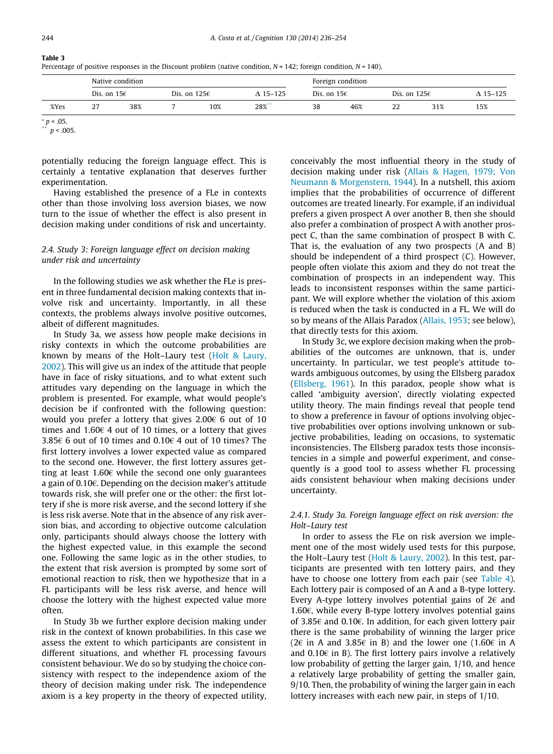# <span id="page-8-0"></span>Table 3 Percentage of positive responses in the Discount problem (native condition,  $N = 142$ ; foreign condition,  $N = 140$ ).

|      | Native condition |     |                          |     | Foreign condition |               |     |                |     |                 |
|------|------------------|-----|--------------------------|-----|-------------------|---------------|-----|----------------|-----|-----------------|
|      | Dis. on $156$    |     | Dis. on $125\varepsilon$ |     | $\Delta$ 15–125   | Dis. on $156$ |     | Dis. on $1256$ |     | $\Delta$ 15-125 |
| %Yes | 27               | 38% |                          | 10% | 28%*              | 38            | 46% | 22             | 31% | 15%             |

 $*$  p < .05.

 $p < .005$ .

potentially reducing the foreign language effect. This is certainly a tentative explanation that deserves further experimentation.

Having established the presence of a FLe in contexts other than those involving loss aversion biases, we now turn to the issue of whether the effect is also present in decision making under conditions of risk and uncertainty.

# 2.4. Study 3: Foreign language effect on decision making under risk and uncertainty

In the following studies we ask whether the FLe is present in three fundamental decision making contexts that involve risk and uncertainty. Importantly, in all these contexts, the problems always involve positive outcomes, albeit of different magnitudes.

In Study 3a, we assess how people make decisions in risky contexts in which the outcome probabilities are known by means of the Holt–Laury test [\(Holt & Laury,](#page-18-0) [2002](#page-18-0)). This will give us an index of the attitude that people have in face of risky situations, and to what extent such attitudes vary depending on the language in which the problem is presented. For example, what would people's decision be if confronted with the following question: would you prefer a lottery that gives 2.00€ 6 out of 10 times and  $1.60\epsilon$  4 out of 10 times, or a lottery that gives 3.85€ 6 out of 10 times and 0.10€ 4 out of 10 times? The first lottery involves a lower expected value as compared to the second one. However, the first lottery assures getting at least 1.60€ while the second one only guarantees a gain of 0.10€. Depending on the decision maker's attitude towards risk, she will prefer one or the other: the first lottery if she is more risk averse, and the second lottery if she is less risk averse. Note that in the absence of any risk aversion bias, and according to objective outcome calculation only, participants should always choose the lottery with the highest expected value, in this example the second one. Following the same logic as in the other studies, to the extent that risk aversion is prompted by some sort of emotional reaction to risk, then we hypothesize that in a FL participants will be less risk averse, and hence will choose the lottery with the highest expected value more often.

In Study 3b we further explore decision making under risk in the context of known probabilities. In this case we assess the extent to which participants are consistent in different situations, and whether FL processing favours consistent behaviour. We do so by studying the choice consistency with respect to the independence axiom of the theory of decision making under risk. The independence axiom is a key property in the theory of expected utility,

conceivably the most influential theory in the study of decision making under risk ([Allais & Hagen, 1979; Von](#page-18-0) [Neumann & Morgenstern, 1944\)](#page-18-0). In a nutshell, this axiom implies that the probabilities of occurrence of different outcomes are treated linearly. For example, if an individual prefers a given prospect A over another B, then she should also prefer a combination of prospect A with another prospect C, than the same combination of prospect B with C. That is, the evaluation of any two prospects (A and B) should be independent of a third prospect (C). However, people often violate this axiom and they do not treat the combination of prospects in an independent way. This leads to inconsistent responses within the same participant. We will explore whether the violation of this axiom is reduced when the task is conducted in a FL. We will do so by means of the Allais Paradox ([Allais, 1953](#page-18-0); see below), that directly tests for this axiom.

In Study 3c, we explore decision making when the probabilities of the outcomes are unknown, that is, under uncertainty. In particular, we test people's attitude towards ambiguous outcomes, by using the Ellsberg paradox [\(Ellsberg, 1961\)](#page-18-0). In this paradox, people show what is called 'ambiguity aversion', directly violating expected utility theory. The main findings reveal that people tend to show a preference in favour of options involving objective probabilities over options involving unknown or subjective probabilities, leading on occasions, to systematic inconsistencies. The Ellsberg paradox tests those inconsistencies in a simple and powerful experiment, and consequently is a good tool to assess whether FL processing aids consistent behaviour when making decisions under uncertainty.

# 2.4.1. Study 3a. Foreign language effect on risk aversion: the Holt–Laury test

In order to assess the FLe on risk aversion we implement one of the most widely used tests for this purpose, the Holt–Laury test [\(Holt & Laury, 2002](#page-18-0)). In this test, participants are presented with ten lottery pairs, and they have to choose one lottery from each pair (see [Table 4](#page-9-0)). Each lottery pair is composed of an A and a B-type lottery. Every A-type lottery involves potential gains of  $2\epsilon$  and 1.60 $€$ , while every B-type lottery involves potential gains of 3.85€ and 0.10€. In addition, for each given lottery pair there is the same probability of winning the larger price (2€ in A and 3.85€ in B) and the lower one (1.60€ in A and  $0.106$  in B). The first lottery pairs involve a relatively low probability of getting the larger gain, 1/10, and hence a relatively large probability of getting the smaller gain, 9/10. Then, the probability of wining the larger gain in each lottery increases with each new pair, in steps of 1/10.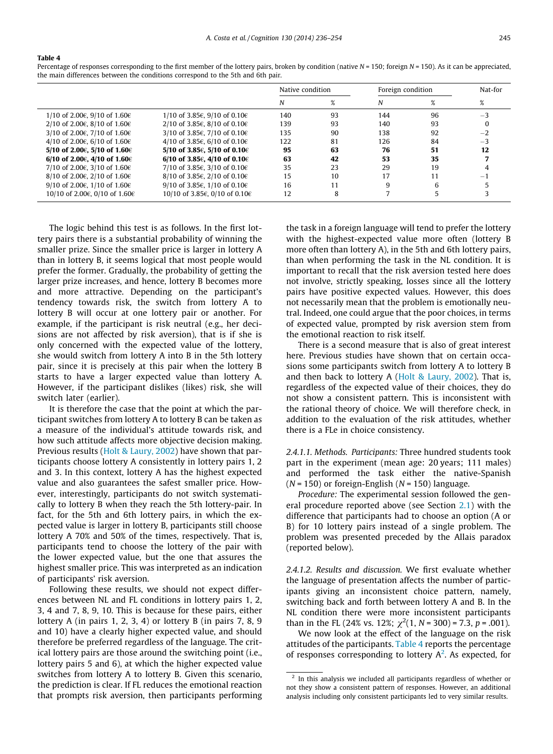<span id="page-9-0"></span>Table 4

Percentage of responses corresponding to the first member of the lottery pairs, broken by condition (native N = 150; foreign N = 150). As it can be appreciated, the main differences between the conditions correspond to the 5th and 6th pair.

|                                                          |                                                     | Native condition |    | Foreign condition |    | Nat-for |
|----------------------------------------------------------|-----------------------------------------------------|------------------|----|-------------------|----|---------|
|                                                          |                                                     | Ν                | %  | N                 | %  | %       |
| 1/10 of 2.00 $\varepsilon$ , 9/10 of 1.60 $\varepsilon$  | 1/10 of 3.85 $\epsilon$ , 9/10 of 0.10 $\epsilon$   | 140              | 93 | 144               | 96 | $-3$    |
| 2/10 of 2.00 $\varepsilon$ , 8/10 of 1.60 $\varepsilon$  | 2/10 of 3.85 $\epsilon$ , 8/10 of 0.10 $\epsilon$   | 139              | 93 | 140               | 93 |         |
| 3/10 of 2.00 $\varepsilon$ , 7/10 of 1.60 $\varepsilon$  | 3/10 of 3.85 $\epsilon$ , 7/10 of 0.10 $\epsilon$   | 135              | 90 | 138               | 92 | $-2$    |
| 4/10 of 2,00 $\varepsilon$ , 6/10 of 1,60 $\varepsilon$  | 4/10 of 3.85 $\epsilon$ , 6/10 of 0.10 $\epsilon$   | 122              | 81 | 126               | 84 | $-3$    |
| 5/10 of 2.00 $\epsilon$ , 5/10 of 1.60 $\epsilon$        | 5/10 of 3.85 $\epsilon$ , 5/10 of 0.10 $\epsilon$   | 95               | 63 | 76                | 51 | 12      |
| 6/10 of 2.00 $\epsilon$ , 4/10 of 1.60 $\epsilon$        | 6/10 of 3.85 $\epsilon$ , 4/10 of 0.10 $\epsilon$   | 63               | 42 | 53                | 35 |         |
| 7/10 of 2.00 $\varepsilon$ , 3/10 of 1.60 $\varepsilon$  | 7/10 of 3.85 $\epsilon$ , 3/10 of 0.10 $\epsilon$   | 35               | 23 | 29                | 19 |         |
| $8/10$ of 2,00 $\epsilon$ , 2/10 of 1,60 $\epsilon$      | $8/10$ of 3.85 $\epsilon$ , 2/10 of 0.10 $\epsilon$ | 15               | 10 | 17                | 11 |         |
| 9/10 of 2.00 $\varepsilon$ , 1/10 of 1.60 $\varepsilon$  | 9/10 of 3.85 $\epsilon$ , 1/10 of 0.10 $\epsilon$   | 16               | 11 | 9                 |    |         |
| 10/10 of 2,00 $\varepsilon$ , 0/10 of 1,60 $\varepsilon$ | 10/10 of 3.85€, 0/10 of 0.10€                       | 12               |    |                   |    |         |

The logic behind this test is as follows. In the first lottery pairs there is a substantial probability of winning the smaller prize. Since the smaller price is larger in lottery A than in lottery B, it seems logical that most people would prefer the former. Gradually, the probability of getting the larger prize increases, and hence, lottery B becomes more and more attractive. Depending on the participant's tendency towards risk, the switch from lottery A to lottery B will occur at one lottery pair or another. For example, if the participant is risk neutral (e.g., her decisions are not affected by risk aversion), that is if she is only concerned with the expected value of the lottery, she would switch from lottery A into B in the 5th lottery pair, since it is precisely at this pair when the lottery B starts to have a larger expected value than lottery A. However, if the participant dislikes (likes) risk, she will switch later (earlier).

It is therefore the case that the point at which the participant switches from lottery A to lottery B can be taken as a measure of the individual's attitude towards risk, and how such attitude affects more objective decision making. Previous results ([Holt & Laury, 2002](#page-18-0)) have shown that participants choose lottery A consistently in lottery pairs 1, 2 and 3. In this context, lottery A has the highest expected value and also guarantees the safest smaller price. However, interestingly, participants do not switch systematically to lottery B when they reach the 5th lottery-pair. In fact, for the 5th and 6th lottery pairs, in which the expected value is larger in lottery B, participants still choose lottery A 70% and 50% of the times, respectively. That is, participants tend to choose the lottery of the pair with the lower expected value, but the one that assures the highest smaller price. This was interpreted as an indication of participants' risk aversion.

Following these results, we should not expect differences between NL and FL conditions in lottery pairs 1, 2, 3, 4 and 7, 8, 9, 10. This is because for these pairs, either lottery A (in pairs 1, 2, 3, 4) or lottery B (in pairs 7, 8, 9 and 10) have a clearly higher expected value, and should therefore be preferred regardless of the language. The critical lottery pairs are those around the switching point (i.e., lottery pairs 5 and 6), at which the higher expected value switches from lottery A to lottery B. Given this scenario, the prediction is clear. If FL reduces the emotional reaction that prompts risk aversion, then participants performing the task in a foreign language will tend to prefer the lottery with the highest-expected value more often (lottery B more often than lottery A), in the 5th and 6th lottery pairs, than when performing the task in the NL condition. It is important to recall that the risk aversion tested here does not involve, strictly speaking, losses since all the lottery pairs have positive expected values. However, this does not necessarily mean that the problem is emotionally neutral. Indeed, one could argue that the poor choices, in terms of expected value, prompted by risk aversion stem from the emotional reaction to risk itself.

There is a second measure that is also of great interest here. Previous studies have shown that on certain occasions some participants switch from lottery A to lottery B and then back to lottery A [\(Holt & Laury, 2002](#page-18-0)). That is, regardless of the expected value of their choices, they do not show a consistent pattern. This is inconsistent with the rational theory of choice. We will therefore check, in addition to the evaluation of the risk attitudes, whether there is a FLe in choice consistency.

2.4.1.1. Methods. Participants: Three hundred students took part in the experiment (mean age: 20 years; 111 males) and performed the task either the native-Spanish  $(N = 150)$  or foreign-English  $(N = 150)$  language.

Procedure: The experimental session followed the general procedure reported above (see Section [2.1\)](#page-3-0) with the difference that participants had to choose an option (A or B) for 10 lottery pairs instead of a single problem. The problem was presented preceded by the Allais paradox (reported below).

2.4.1.2. Results and discussion. We first evaluate whether the language of presentation affects the number of participants giving an inconsistent choice pattern, namely, switching back and forth between lottery A and B. In the NL condition there were more inconsistent participants than in the FL (24% vs. 12%;  $\chi^2(1, N = 300) = 7.3$ ,  $p = .001$ ).

We now look at the effect of the language on the risk attitudes of the participants. Table 4 reports the percentage of responses corresponding to lottery  $A^2$ . As expected, for

<sup>&</sup>lt;sup>2</sup> In this analysis we included all participants regardless of whether or not they show a consistent pattern of responses. However, an additional analysis including only consistent participants led to very similar results.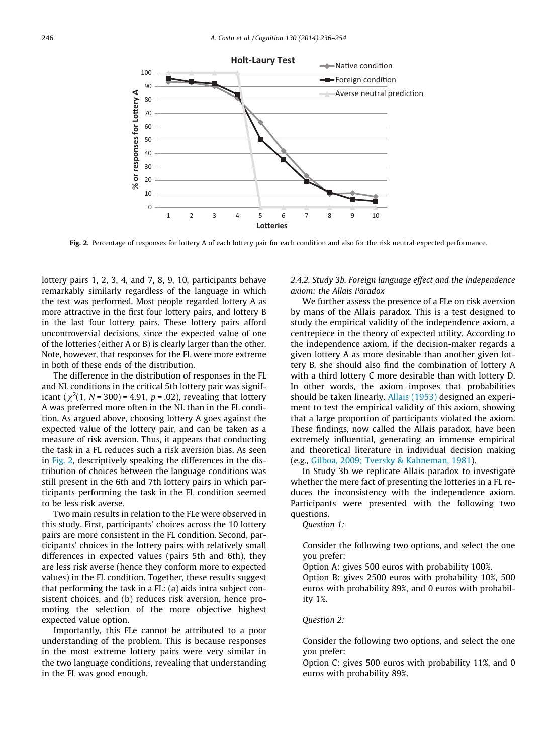

Fig. 2. Percentage of responses for lottery A of each lottery pair for each condition and also for the risk neutral expected performance.

lottery pairs 1, 2, 3, 4, and 7, 8, 9, 10, participants behave remarkably similarly regardless of the language in which the test was performed. Most people regarded lottery A as more attractive in the first four lottery pairs, and lottery B in the last four lottery pairs. These lottery pairs afford uncontroversial decisions, since the expected value of one of the lotteries (either A or B) is clearly larger than the other. Note, however, that responses for the FL were more extreme in both of these ends of the distribution.

The difference in the distribution of responses in the FL and NL conditions in the critical 5th lottery pair was significant  $(\chi^2(1, N = 300) = 4.91, p = .02)$ , revealing that lottery A was preferred more often in the NL than in the FL condition. As argued above, choosing lottery A goes against the expected value of the lottery pair, and can be taken as a measure of risk aversion. Thus, it appears that conducting the task in a FL reduces such a risk aversion bias. As seen in Fig. 2, descriptively speaking the differences in the distribution of choices between the language conditions was still present in the 6th and 7th lottery pairs in which participants performing the task in the FL condition seemed to be less risk averse.

Two main results in relation to the FLe were observed in this study. First, participants' choices across the 10 lottery pairs are more consistent in the FL condition. Second, participants' choices in the lottery pairs with relatively small differences in expected values (pairs 5th and 6th), they are less risk averse (hence they conform more to expected values) in the FL condition. Together, these results suggest that performing the task in a FL: (a) aids intra subject consistent choices, and (b) reduces risk aversion, hence promoting the selection of the more objective highest expected value option.

Importantly, this FLe cannot be attributed to a poor understanding of the problem. This is because responses in the most extreme lottery pairs were very similar in the two language conditions, revealing that understanding in the FL was good enough.

2.4.2. Study 3b. Foreign language effect and the independence axiom: the Allais Paradox

We further assess the presence of a FLe on risk aversion by mans of the Allais paradox. This is a test designed to study the empirical validity of the independence axiom, a centrepiece in the theory of expected utility. According to the independence axiom, if the decision-maker regards a given lottery A as more desirable than another given lottery B, she should also find the combination of lottery A with a third lottery C more desirable than with lottery D. In other words, the axiom imposes that probabilities should be taken linearly. [Allais \(1953\)](#page-18-0) designed an experiment to test the empirical validity of this axiom, showing that a large proportion of participants violated the axiom. These findings, now called the Allais paradox, have been extremely influential, generating an immense empirical and theoretical literature in individual decision making (e.g., [Gilboa, 2009; Tversky & Kahneman, 1981\)](#page-18-0).

In Study 3b we replicate Allais paradox to investigate whether the mere fact of presenting the lotteries in a FL reduces the inconsistency with the independence axiom. Participants were presented with the following two questions.

Question 1:

Consider the following two options, and select the one you prefer:

Option A: gives 500 euros with probability 100%.

Option B: gives 2500 euros with probability 10%, 500 euros with probability 89%, and 0 euros with probability 1%.

#### Question 2:

Consider the following two options, and select the one you prefer:

Option C: gives 500 euros with probability 11%, and 0 euros with probability 89%.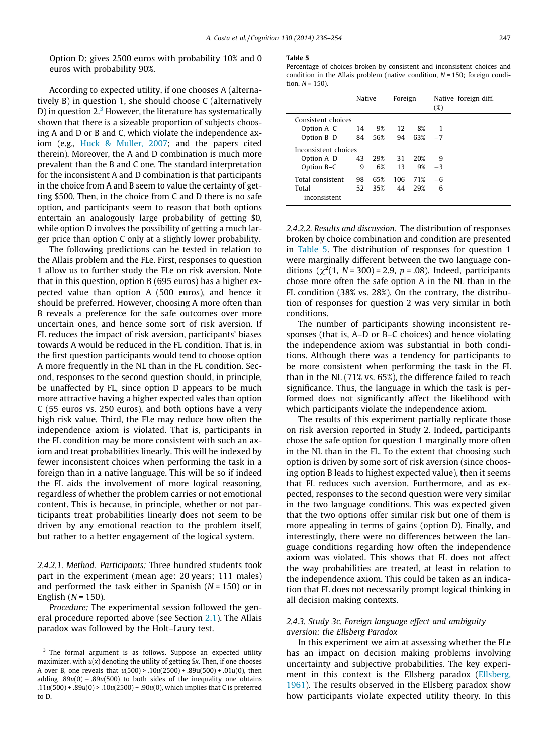Option D: gives 2500 euros with probability 10% and 0 euros with probability 90%.

According to expected utility, if one chooses A (alternatively B) in question 1, she should choose C (alternatively D) in question  $2<sup>3</sup>$  However, the literature has systematically shown that there is a sizeable proportion of subjects choosing A and D or B and C, which violate the independence axiom (e.g., [Huck & Muller, 2007;](#page-18-0) and the papers cited therein). Moreover, the A and D combination is much more prevalent than the B and C one. The standard interpretation for the inconsistent A and D combination is that participants in the choice from A and B seem to value the certainty of getting \$500. Then, in the choice from C and D there is no safe option, and participants seem to reason that both options entertain an analogously large probability of getting \$0, while option D involves the possibility of getting a much larger price than option C only at a slightly lower probability.

The following predictions can be tested in relation to the Allais problem and the FLe. First, responses to question 1 allow us to further study the FLe on risk aversion. Note that in this question, option B (695 euros) has a higher expected value than option A (500 euros), and hence it should be preferred. However, choosing A more often than B reveals a preference for the safe outcomes over more uncertain ones, and hence some sort of risk aversion. If FL reduces the impact of risk aversion, participants' biases towards A would be reduced in the FL condition. That is, in the first question participants would tend to choose option A more frequently in the NL than in the FL condition. Second, responses to the second question should, in principle, be unaffected by FL, since option D appears to be much more attractive having a higher expected vales than option C (55 euros vs. 250 euros), and both options have a very high risk value. Third, the FLe may reduce how often the independence axiom is violated. That is, participants in the FL condition may be more consistent with such an axiom and treat probabilities linearly. This will be indexed by fewer inconsistent choices when performing the task in a foreign than in a native language. This will be so if indeed the FL aids the involvement of more logical reasoning, regardless of whether the problem carries or not emotional content. This is because, in principle, whether or not participants treat probabilities linearly does not seem to be driven by any emotional reaction to the problem itself, but rather to a better engagement of the logical system.

2.4.2.1. Method. Participants: Three hundred students took part in the experiment (mean age: 20 years; 111 males) and performed the task either in Spanish ( $N = 150$ ) or in English  $(N = 150)$ .

Procedure: The experimental session followed the general procedure reported above (see Section [2.1\)](#page-3-0). The Allais paradox was followed by the Holt–Laury test.

#### Table 5

Percentage of choices broken by consistent and inconsistent choices and condition in the Allais problem (native condition,  $N = 150$ ; foreign condition,  $N = 150$ ).

|                       | Native |     | Foreign |     | Native-foreign diff.<br>(%) |
|-----------------------|--------|-----|---------|-----|-----------------------------|
| Consistent choices    |        |     |         |     |                             |
| Option A-C            | 14     | 9%  | 12      | 8%  | 1                           |
| Option B-D            | 84     | 56% | 94      | 63% | $-7$                        |
| Inconsistent choices  |        |     |         |     |                             |
| Option A-D            | 43     | 29% | 31      | 20% | 9                           |
| Option B-C            | 9      | 6%  | 13      | 9%  | $-3$                        |
| Total consistent      | 98     | 65% | 106     | 71% | -6                          |
| Total<br>inconsistent | 52     | 35% | 44      | 29% | 6                           |

2.4.2.2. Results and discussion. The distribution of responses broken by choice combination and condition are presented in Table 5. The distribution of responses for question 1 were marginally different between the two language conditions  $(\chi^2(1, N = 300) = 2.9, p = .08)$ . Indeed, participants chose more often the safe option A in the NL than in the FL condition (38% vs. 28%). On the contrary, the distribution of responses for question 2 was very similar in both conditions.

The number of participants showing inconsistent responses (that is, A–D or B–C choices) and hence violating the independence axiom was substantial in both conditions. Although there was a tendency for participants to be more consistent when performing the task in the FL than in the NL (71% vs. 65%), the difference failed to reach significance. Thus, the language in which the task is performed does not significantly affect the likelihood with which participants violate the independence axiom.

The results of this experiment partially replicate those on risk aversion reported in Study 2. Indeed, participants chose the safe option for question 1 marginally more often in the NL than in the FL. To the extent that choosing such option is driven by some sort of risk aversion (since choosing option B leads to highest expected value), then it seems that FL reduces such aversion. Furthermore, and as expected, responses to the second question were very similar in the two language conditions. This was expected given that the two options offer similar risk but one of them is more appealing in terms of gains (option D). Finally, and interestingly, there were no differences between the language conditions regarding how often the independence axiom was violated. This shows that FL does not affect the way probabilities are treated, at least in relation to the independence axiom. This could be taken as an indication that FL does not necessarily prompt logical thinking in all decision making contexts.

# 2.4.3. Study 3c. Foreign language effect and ambiguity aversion: the Ellsberg Paradox

In this experiment we aim at assessing whether the FLe has an impact on decision making problems involving uncertainty and subjective probabilities. The key experiment in this context is the Ellsberg paradox [\(Ellsberg,](#page-18-0) [1961\)](#page-18-0). The results observed in the Ellsberg paradox show how participants violate expected utility theory. In this

<sup>&</sup>lt;sup>3</sup> The formal argument is as follows. Suppose an expected utility maximizer, with  $u(x)$  denoting the utility of getting \$x. Then, if one chooses A over B, one reveals that  $u(500) > .10u(2500) + .89u(500) + .01u(0)$ , then adding .89u(0) - .89u(500) to both sides of the inequality one obtains .11u(500) + .89u(0) > .10u(2500) + .90u(0), which implies that C is preferred to D.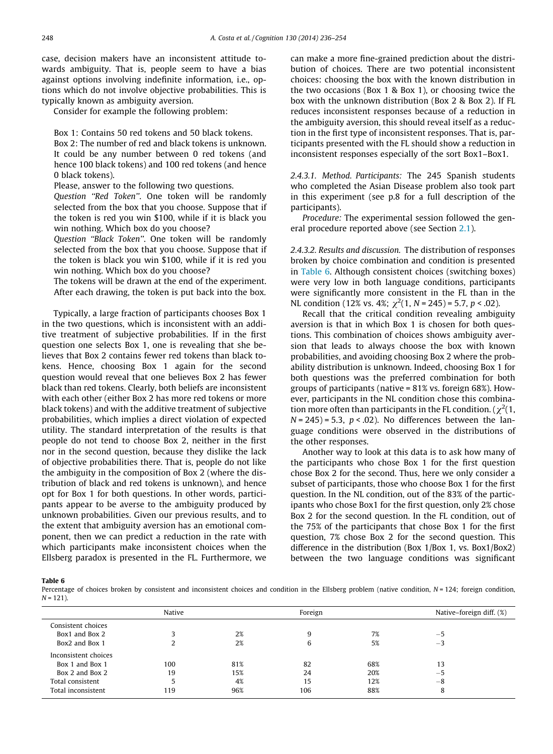case, decision makers have an inconsistent attitude towards ambiguity. That is, people seem to have a bias against options involving indefinite information, i.e., options which do not involve objective probabilities. This is typically known as ambiguity aversion.

Consider for example the following problem:

Box 1: Contains 50 red tokens and 50 black tokens. Box 2: The number of red and black tokens is unknown. It could be any number between 0 red tokens (and hence 100 black tokens) and 100 red tokens (and hence 0 black tokens).

Please, answer to the following two questions.

Question "Red Token". One token will be randomly selected from the box that you choose. Suppose that if the token is red you win \$100, while if it is black you win nothing. Which box do you choose?

Question ''Black Token''. One token will be randomly selected from the box that you choose. Suppose that if the token is black you win \$100, while if it is red you win nothing. Which box do you choose?

The tokens will be drawn at the end of the experiment. After each drawing, the token is put back into the box.

Typically, a large fraction of participants chooses Box 1 in the two questions, which is inconsistent with an additive treatment of subjective probabilities. If in the first question one selects Box 1, one is revealing that she believes that Box 2 contains fewer red tokens than black tokens. Hence, choosing Box 1 again for the second question would reveal that one believes Box 2 has fewer black than red tokens. Clearly, both beliefs are inconsistent with each other (either Box 2 has more red tokens or more black tokens) and with the additive treatment of subjective probabilities, which implies a direct violation of expected utility. The standard interpretation of the results is that people do not tend to choose Box 2, neither in the first nor in the second question, because they dislike the lack of objective probabilities there. That is, people do not like the ambiguity in the composition of Box 2 (where the distribution of black and red tokens is unknown), and hence opt for Box 1 for both questions. In other words, participants appear to be averse to the ambiguity produced by unknown probabilities. Given our previous results, and to the extent that ambiguity aversion has an emotional component, then we can predict a reduction in the rate with which participants make inconsistent choices when the Ellsberg paradox is presented in the FL. Furthermore, we

can make a more fine-grained prediction about the distribution of choices. There are two potential inconsistent choices: choosing the box with the known distribution in the two occasions (Box 1 & Box 1), or choosing twice the box with the unknown distribution (Box 2 & Box 2). If FL reduces inconsistent responses because of a reduction in the ambiguity aversion, this should reveal itself as a reduction in the first type of inconsistent responses. That is, participants presented with the FL should show a reduction in inconsistent responses especially of the sort Box1–Box1.

2.4.3.1. Method. Participants: The 245 Spanish students who completed the Asian Disease problem also took part in this experiment (see p.8 for a full description of the participants).

Procedure: The experimental session followed the gen-eral procedure reported above (see Section [2.1\)](#page-3-0).

2.4.3.2. Results and discussion. The distribution of responses broken by choice combination and condition is presented in Table 6. Although consistent choices (switching boxes) were very low in both language conditions, participants were significantly more consistent in the FL than in the NL condition (12% vs. 4%;  $\chi^2(1, N = 245) = 5.7$ ,  $p < .02$ ).

Recall that the critical condition revealing ambiguity aversion is that in which Box 1 is chosen for both questions. This combination of choices shows ambiguity aversion that leads to always choose the box with known probabilities, and avoiding choosing Box 2 where the probability distribution is unknown. Indeed, choosing Box 1 for both questions was the preferred combination for both groups of participants (native = 81% vs. foreign 68%). However, participants in the NL condition chose this combination more often than participants in the FL condition.  $(\chi^2(1,$  $N = 245$  = 5.3,  $p < .02$ ). No differences between the language conditions were observed in the distributions of the other responses.

Another way to look at this data is to ask how many of the participants who chose Box 1 for the first question chose Box 2 for the second. Thus, here we only consider a subset of participants, those who choose Box 1 for the first question. In the NL condition, out of the 83% of the participants who chose Box1 for the first question, only 2% chose Box 2 for the second question. In the FL condition, out of the 75% of the participants that chose Box 1 for the first question, 7% chose Box 2 for the second question. This difference in the distribution (Box 1/Box 1, vs. Box1/Box2) between the two language conditions was significant

Table 6

Percentage of choices broken by consistent and inconsistent choices and condition in the Ellsberg problem (native condition,  $N = 124$ ; foreign condition,  $N = 121$ ).

|                      | Native |     | Foreign |     | Native-foreign diff. (%) |  |
|----------------------|--------|-----|---------|-----|--------------------------|--|
| Consistent choices   |        |     |         |     |                          |  |
| Box1 and Box 2       |        | 2%  | 9       | 7%  | -5                       |  |
| Box2 and Box 1       |        | 2%  | b       | 5%  | - 1                      |  |
| Inconsistent choices |        |     |         |     |                          |  |
| Box 1 and Box 1      | 100    | 81% | 82      | 68% | 13                       |  |
| Box 2 and Box 2      | 19     | 15% | 24      | 20% | — ב                      |  |
| Total consistent     |        | 4%  | 15      | 12% | $-8$                     |  |
| Total inconsistent   | 119    | 96% | 106     | 88% | 8                        |  |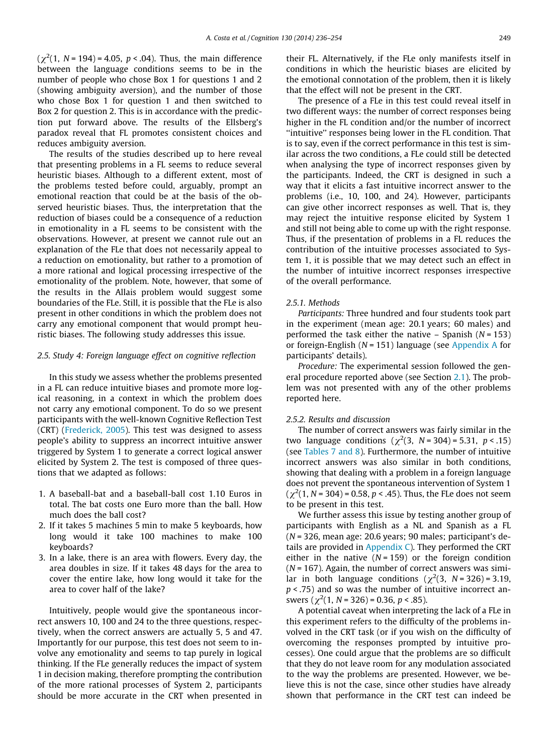$(\chi^2(1, N = 194) = 4.05, p < .04)$ . Thus, the main difference between the language conditions seems to be in the number of people who chose Box 1 for questions 1 and 2 (showing ambiguity aversion), and the number of those who chose Box 1 for question 1 and then switched to Box 2 for question 2. This is in accordance with the prediction put forward above. The results of the Ellsberg's paradox reveal that FL promotes consistent choices and reduces ambiguity aversion.

The results of the studies described up to here reveal that presenting problems in a FL seems to reduce several heuristic biases. Although to a different extent, most of the problems tested before could, arguably, prompt an emotional reaction that could be at the basis of the observed heuristic biases. Thus, the interpretation that the reduction of biases could be a consequence of a reduction in emotionality in a FL seems to be consistent with the observations. However, at present we cannot rule out an explanation of the FLe that does not necessarily appeal to a reduction on emotionality, but rather to a promotion of a more rational and logical processing irrespective of the emotionality of the problem. Note, however, that some of the results in the Allais problem would suggest some boundaries of the FLe. Still, it is possible that the FLe is also present in other conditions in which the problem does not carry any emotional component that would prompt heuristic biases. The following study addresses this issue.

# 2.5. Study 4: Foreign language effect on cognitive reflection

In this study we assess whether the problems presented in a FL can reduce intuitive biases and promote more logical reasoning, in a context in which the problem does not carry any emotional component. To do so we present participants with the well-known Cognitive Reflection Test (CRT) ([Frederick, 2005](#page-18-0)). This test was designed to assess people's ability to suppress an incorrect intuitive answer triggered by System 1 to generate a correct logical answer elicited by System 2. The test is composed of three questions that we adapted as follows:

- 1. A baseball-bat and a baseball-ball cost 1.10 Euros in total. The bat costs one Euro more than the ball. How much does the ball cost?
- 2. If it takes 5 machines 5 min to make 5 keyboards, how long would it take 100 machines to make 100 keyboards?
- 3. In a lake, there is an area with flowers. Every day, the area doubles in size. If it takes 48 days for the area to cover the entire lake, how long would it take for the area to cover half of the lake?

Intuitively, people would give the spontaneous incorrect answers 10, 100 and 24 to the three questions, respectively, when the correct answers are actually 5, 5 and 47. Importantly for our purpose, this test does not seem to involve any emotionality and seems to tap purely in logical thinking. If the FLe generally reduces the impact of system 1 in decision making, therefore prompting the contribution of the more rational processes of System 2, participants should be more accurate in the CRT when presented in their FL. Alternatively, if the FLe only manifests itself in conditions in which the heuristic biases are elicited by the emotional connotation of the problem, then it is likely that the effect will not be present in the CRT.

The presence of a FLe in this test could reveal itself in two different ways: the number of correct responses being higher in the FL condition and/or the number of incorrect ''intuitive'' responses being lower in the FL condition. That is to say, even if the correct performance in this test is similar across the two conditions, a FLe could still be detected when analysing the type of incorrect responses given by the participants. Indeed, the CRT is designed in such a way that it elicits a fast intuitive incorrect answer to the problems (i.e., 10, 100, and 24). However, participants can give other incorrect responses as well. That is, they may reject the intuitive response elicited by System 1 and still not being able to come up with the right response. Thus, if the presentation of problems in a FL reduces the contribution of the intuitive processes associated to System 1, it is possible that we may detect such an effect in the number of intuitive incorrect responses irrespective of the overall performance.

#### 2.5.1. Methods

Participants: Three hundred and four students took part in the experiment (mean age: 20.1 years; 60 males) and performed the task either the native – Spanish ( $N = 153$ ) or foreign-English ( $N = 151$ ) language (see [Appendix A](#page-17-0) for participants' details).

Procedure: The experimental session followed the general procedure reported above (see Section [2.1\)](#page-3-0). The problem was not presented with any of the other problems reported here.

#### 2.5.2. Results and discussion

The number of correct answers was fairly similar in the two language conditions  $(\chi^2(3, N = 304) = 5.31, p < .15)$ (see [Tables 7 and 8\)](#page-14-0). Furthermore, the number of intuitive incorrect answers was also similar in both conditions, showing that dealing with a problem in a foreign language does not prevent the spontaneous intervention of System 1  $(\chi^2(1, N = 304) = 0.58, p < .45)$ . Thus, the FLe does not seem to be present in this test.

We further assess this issue by testing another group of participants with English as a NL and Spanish as a FL (N = 326, mean age: 20.6 years; 90 males; participant's details are provided in [Appendix C\)](#page-17-0). They performed the CRT either in the native  $(N = 159)$  or the foreign condition  $(N = 167)$ . Again, the number of correct answers was similar in both language conditions  $(\chi^2(3, N = 326) = 3.19,$  $p$  < .75) and so was the number of intuitive incorrect answers  $(\chi^2(1, N = 326) = 0.36, p < .85)$ .

A potential caveat when interpreting the lack of a FLe in this experiment refers to the difficulty of the problems involved in the CRT task (or if you wish on the difficulty of overcoming the responses prompted by intuitive processes). One could argue that the problems are so difficult that they do not leave room for any modulation associated to the way the problems are presented. However, we believe this is not the case, since other studies have already shown that performance in the CRT test can indeed be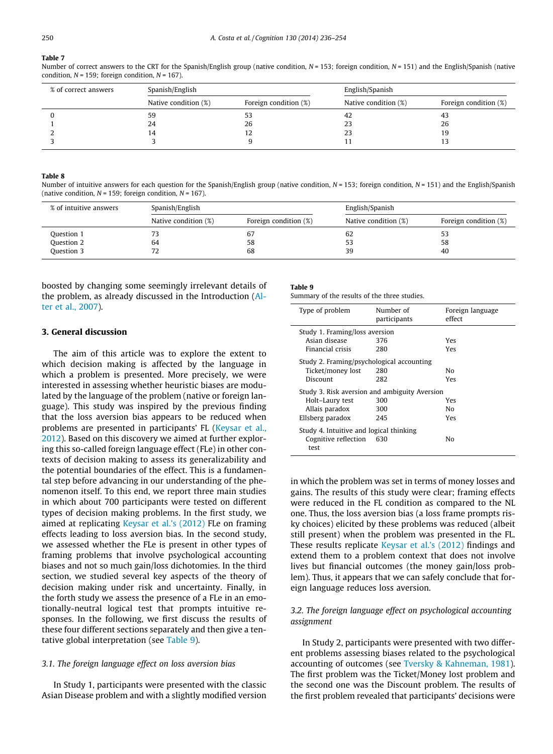### <span id="page-14-0"></span>Table 7

Number of correct answers to the CRT for the Spanish/English group (native condition,  $N = 153$ ; foreign condition,  $N = 151$ ) and the English/Spanish (native condition,  $N = 159$ ; foreign condition,  $N = 167$ ).

| % of correct answers | Spanish/English      |                       | English/Spanish      |                       |  |
|----------------------|----------------------|-----------------------|----------------------|-----------------------|--|
|                      | Native condition (%) | Foreign condition (%) | Native condition (%) | Foreign condition (%) |  |
|                      | 59                   | 53                    | -42                  | 43                    |  |
|                      | 24                   | 26                    | 23                   | 26                    |  |
|                      |                      | 12                    | 23                   | 19                    |  |
|                      |                      |                       |                      |                       |  |

#### Table 8

Number of intuitive answers for each question for the Spanish/English group (native condition,  $N = 153$ ; foreign condition,  $N = 151$ ) and the English/Spanish (native condition,  $N = 159$ ; foreign condition,  $N = 167$ ).

| % of intuitive answers | Spanish/English      |                       | English/Spanish      |                       |  |  |
|------------------------|----------------------|-----------------------|----------------------|-----------------------|--|--|
|                        | Native condition (%) | Foreign condition (%) | Native condition (%) | Foreign condition (%) |  |  |
| Question 1             |                      | 67                    | 62                   | 53                    |  |  |
| Question 2             | 64                   | 58                    | 53                   | 58                    |  |  |
| Question 3             | 72                   | 68                    | 39                   | 40                    |  |  |

boosted by changing some seemingly irrelevant details of the problem, as already discussed in the Introduction [\(Al](#page-18-0)[ter et al., 2007](#page-18-0)).

# 3. General discussion

The aim of this article was to explore the extent to which decision making is affected by the language in which a problem is presented. More precisely, we were interested in assessing whether heuristic biases are modulated by the language of the problem (native or foreign language). This study was inspired by the previous finding that the loss aversion bias appears to be reduced when problems are presented in participants' FL [\(Keysar et al.,](#page-18-0) [2012](#page-18-0)). Based on this discovery we aimed at further exploring this so-called foreign language effect (FLe) in other contexts of decision making to assess its generalizability and the potential boundaries of the effect. This is a fundamental step before advancing in our understanding of the phenomenon itself. To this end, we report three main studies in which about 700 participants were tested on different types of decision making problems. In the first study, we aimed at replicating [Keysar et al.'s \(2012\)](#page-18-0) FLe on framing effects leading to loss aversion bias. In the second study, we assessed whether the FLe is present in other types of framing problems that involve psychological accounting biases and not so much gain/loss dichotomies. In the third section, we studied several key aspects of the theory of decision making under risk and uncertainty. Finally, in the forth study we assess the presence of a FLe in an emotionally-neutral logical test that prompts intuitive responses. In the following, we first discuss the results of these four different sections separately and then give a tentative global interpretation (see Table 9).

#### 3.1. The foreign language effect on loss aversion bias

In Study 1, participants were presented with the classic Asian Disease problem and with a slightly modified version

#### Table 9

Summary of the results of the three studies.

| Type of problem                               | Number of<br>participants | Foreign language<br>effect |
|-----------------------------------------------|---------------------------|----------------------------|
| Study 1. Framing/loss aversion                |                           |                            |
| Asian disease                                 | 376                       | Yes                        |
| Financial crisis                              | 280                       | Yes                        |
| Study 2. Framing/psychological accounting     |                           |                            |
| Ticket/money lost                             | 280                       | No                         |
| Discount                                      | 282                       | Yes                        |
| Study 3. Risk aversion and ambiguity Aversion |                           |                            |
| Holt-Laury test                               | 300                       | Yes                        |
| Allais paradox                                | 300                       | Nο                         |
| Ellsberg paradox                              | 245                       | Yes                        |
| Study 4. Intuitive and logical thinking       |                           |                            |
| Cognitive reflection<br>test                  | 630                       | No                         |
|                                               |                           |                            |

in which the problem was set in terms of money losses and gains. The results of this study were clear; framing effects were reduced in the FL condition as compared to the NL one. Thus, the loss aversion bias (a loss frame prompts risky choices) elicited by these problems was reduced (albeit still present) when the problem was presented in the FL. These results replicate [Keysar et al.'s \(2012\)](#page-18-0) findings and extend them to a problem context that does not involve lives but financial outcomes (the money gain/loss problem). Thus, it appears that we can safely conclude that foreign language reduces loss aversion.

# 3.2. The foreign language effect on psychological accounting assignment

In Study 2, participants were presented with two different problems assessing biases related to the psychological accounting of outcomes (see [Tversky & Kahneman, 1981](#page-18-0)). The first problem was the Ticket/Money lost problem and the second one was the Discount problem. The results of the first problem revealed that participants' decisions were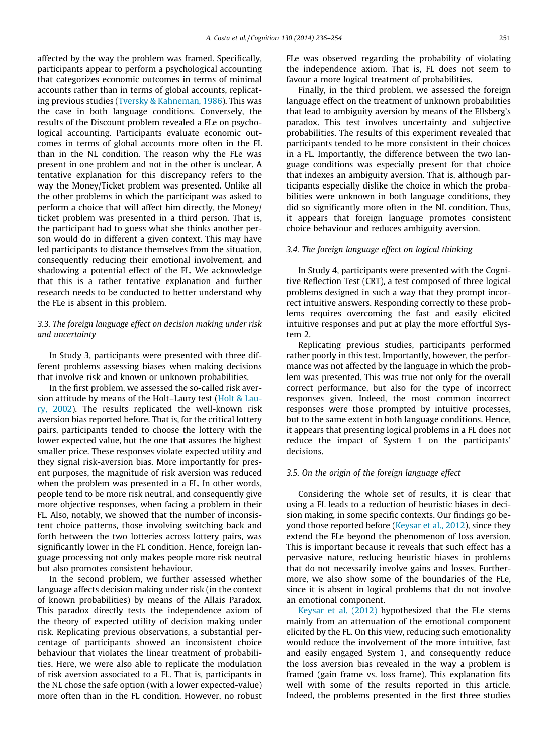affected by the way the problem was framed. Specifically, participants appear to perform a psychological accounting that categorizes economic outcomes in terms of minimal accounts rather than in terms of global accounts, replicating previous studies ([Tversky & Kahneman, 1986\)](#page-18-0). This was the case in both language conditions. Conversely, the results of the Discount problem revealed a FLe on psychological accounting. Participants evaluate economic outcomes in terms of global accounts more often in the FL than in the NL condition. The reason why the FLe was present in one problem and not in the other is unclear. A tentative explanation for this discrepancy refers to the way the Money/Ticket problem was presented. Unlike all the other problems in which the participant was asked to perform a choice that will affect him directly, the Money/ ticket problem was presented in a third person. That is, the participant had to guess what she thinks another person would do in different a given context. This may have led participants to distance themselves from the situation, consequently reducing their emotional involvement, and shadowing a potential effect of the FL. We acknowledge that this is a rather tentative explanation and further research needs to be conducted to better understand why the FLe is absent in this problem.

# 3.3. The foreign language effect on decision making under risk and uncertainty

In Study 3, participants were presented with three different problems assessing biases when making decisions that involve risk and known or unknown probabilities.

In the first problem, we assessed the so-called risk aversion attitude by means of the Holt–Laury test ([Holt & Lau](#page-18-0)[ry, 2002](#page-18-0)). The results replicated the well-known risk aversion bias reported before. That is, for the critical lottery pairs, participants tended to choose the lottery with the lower expected value, but the one that assures the highest smaller price. These responses violate expected utility and they signal risk-aversion bias. More importantly for present purposes, the magnitude of risk aversion was reduced when the problem was presented in a FL. In other words, people tend to be more risk neutral, and consequently give more objective responses, when facing a problem in their FL. Also, notably, we showed that the number of inconsistent choice patterns, those involving switching back and forth between the two lotteries across lottery pairs, was significantly lower in the FL condition. Hence, foreign language processing not only makes people more risk neutral but also promotes consistent behaviour.

In the second problem, we further assessed whether language affects decision making under risk (in the context of known probabilities) by means of the Allais Paradox. This paradox directly tests the independence axiom of the theory of expected utility of decision making under risk. Replicating previous observations, a substantial percentage of participants showed an inconsistent choice behaviour that violates the linear treatment of probabilities. Here, we were also able to replicate the modulation of risk aversion associated to a FL. That is, participants in the NL chose the safe option (with a lower expected-value) more often than in the FL condition. However, no robust

FLe was observed regarding the probability of violating the independence axiom. That is, FL does not seem to favour a more logical treatment of probabilities.

Finally, in the third problem, we assessed the foreign language effect on the treatment of unknown probabilities that lead to ambiguity aversion by means of the Ellsberg's paradox. This test involves uncertainty and subjective probabilities. The results of this experiment revealed that participants tended to be more consistent in their choices in a FL. Importantly, the difference between the two language conditions was especially present for that choice that indexes an ambiguity aversion. That is, although participants especially dislike the choice in which the probabilities were unknown in both language conditions, they did so significantly more often in the NL condition. Thus, it appears that foreign language promotes consistent choice behaviour and reduces ambiguity aversion.

# 3.4. The foreign language effect on logical thinking

In Study 4, participants were presented with the Cognitive Reflection Test (CRT), a test composed of three logical problems designed in such a way that they prompt incorrect intuitive answers. Responding correctly to these problems requires overcoming the fast and easily elicited intuitive responses and put at play the more effortful System 2.

Replicating previous studies, participants performed rather poorly in this test. Importantly, however, the performance was not affected by the language in which the problem was presented. This was true not only for the overall correct performance, but also for the type of incorrect responses given. Indeed, the most common incorrect responses were those prompted by intuitive processes, but to the same extent in both language conditions. Hence, it appears that presenting logical problems in a FL does not reduce the impact of System 1 on the participants' decisions.

#### 3.5. On the origin of the foreign language effect

Considering the whole set of results, it is clear that using a FL leads to a reduction of heuristic biases in decision making, in some specific contexts. Our findings go be-yond those reported before [\(Keysar et al., 2012\)](#page-18-0), since they extend the FLe beyond the phenomenon of loss aversion. This is important because it reveals that such effect has a pervasive nature, reducing heuristic biases in problems that do not necessarily involve gains and losses. Furthermore, we also show some of the boundaries of the FLe, since it is absent in logical problems that do not involve an emotional component.

[Keysar et al. \(2012\)](#page-18-0) hypothesized that the FLe stems mainly from an attenuation of the emotional component elicited by the FL. On this view, reducing such emotionality would reduce the involvement of the more intuitive, fast and easily engaged System 1, and consequently reduce the loss aversion bias revealed in the way a problem is framed (gain frame vs. loss frame). This explanation fits well with some of the results reported in this article. Indeed, the problems presented in the first three studies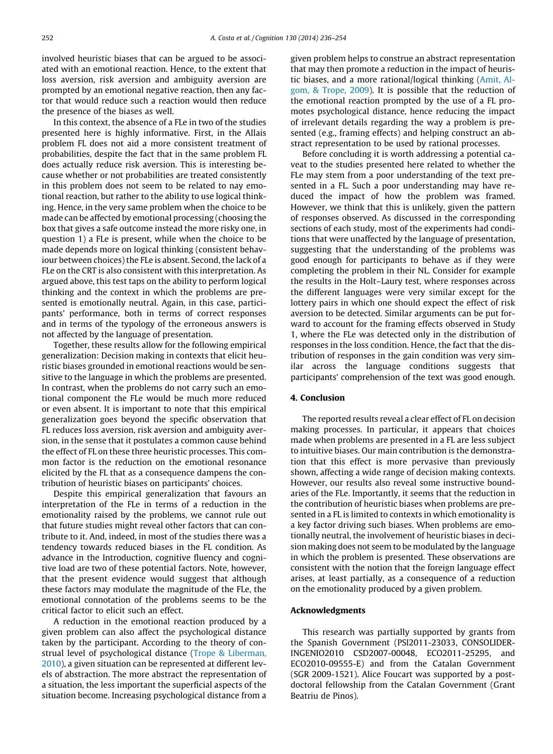involved heuristic biases that can be argued to be associated with an emotional reaction. Hence, to the extent that loss aversion, risk aversion and ambiguity aversion are prompted by an emotional negative reaction, then any factor that would reduce such a reaction would then reduce the presence of the biases as well.

In this context, the absence of a FLe in two of the studies presented here is highly informative. First, in the Allais problem FL does not aid a more consistent treatment of probabilities, despite the fact that in the same problem FL does actually reduce risk aversion. This is interesting because whether or not probabilities are treated consistently in this problem does not seem to be related to nay emotional reaction, but rather to the ability to use logical thinking. Hence, in the very same problem when the choice to be made can be affected by emotional processing (choosing the box that gives a safe outcome instead the more risky one, in question 1) a FLe is present, while when the choice to be made depends more on logical thinking (consistent behaviour between choices) the FLe is absent. Second, the lack of a FLe on the CRT is also consistent with this interpretation. As argued above, this test taps on the ability to perform logical thinking and the context in which the problems are presented is emotionally neutral. Again, in this case, participants' performance, both in terms of correct responses and in terms of the typology of the erroneous answers is not affected by the language of presentation.

Together, these results allow for the following empirical generalization: Decision making in contexts that elicit heuristic biases grounded in emotional reactions would be sensitive to the language in which the problems are presented. In contrast, when the problems do not carry such an emotional component the FLe would be much more reduced or even absent. It is important to note that this empirical generalization goes beyond the specific observation that FL reduces loss aversion, risk aversion and ambiguity aversion, in the sense that it postulates a common cause behind the effect of FL on these three heuristic processes. This common factor is the reduction on the emotional resonance elicited by the FL that as a consequence dampens the contribution of heuristic biases on participants' choices.

Despite this empirical generalization that favours an interpretation of the FLe in terms of a reduction in the emotionality raised by the problems, we cannot rule out that future studies might reveal other factors that can contribute to it. And, indeed, in most of the studies there was a tendency towards reduced biases in the FL condition. As advance in the Introduction, cognitive fluency and cognitive load are two of these potential factors. Note, however, that the present evidence would suggest that although these factors may modulate the magnitude of the FLe, the emotional connotation of the problems seems to be the critical factor to elicit such an effect.

A reduction in the emotional reaction produced by a given problem can also affect the psychological distance taken by the participant. According to the theory of construal level of psychological distance ([Trope & Liberman,](#page-18-0) [2010](#page-18-0)), a given situation can be represented at different levels of abstraction. The more abstract the representation of a situation, the less important the superficial aspects of the situation become. Increasing psychological distance from a

given problem helps to construe an abstract representation that may then promote a reduction in the impact of heuristic biases, and a more rational/logical thinking ([Amit, Al](#page-18-0)[gom, & Trope, 2009\)](#page-18-0). It is possible that the reduction of the emotional reaction prompted by the use of a FL promotes psychological distance, hence reducing the impact of irrelevant details regarding the way a problem is presented (e.g., framing effects) and helping construct an abstract representation to be used by rational processes.

Before concluding it is worth addressing a potential caveat to the studies presented here related to whether the FLe may stem from a poor understanding of the text presented in a FL. Such a poor understanding may have reduced the impact of how the problem was framed. However, we think that this is unlikely, given the pattern of responses observed. As discussed in the corresponding sections of each study, most of the experiments had conditions that were unaffected by the language of presentation, suggesting that the understanding of the problems was good enough for participants to behave as if they were completing the problem in their NL. Consider for example the results in the Holt–Laury test, where responses across the different languages were very similar except for the lottery pairs in which one should expect the effect of risk aversion to be detected. Similar arguments can be put forward to account for the framing effects observed in Study 1, where the FLe was detected only in the distribution of responses in the loss condition. Hence, the fact that the distribution of responses in the gain condition was very similar across the language conditions suggests that participants' comprehension of the text was good enough.

# 4. Conclusion

The reported results reveal a clear effect of FL on decision making processes. In particular, it appears that choices made when problems are presented in a FL are less subject to intuitive biases. Our main contribution is the demonstration that this effect is more pervasive than previously shown, affecting a wide range of decision making contexts. However, our results also reveal some instructive boundaries of the FLe. Importantly, it seems that the reduction in the contribution of heuristic biases when problems are presented in a FL is limited to contexts in which emotionality is a key factor driving such biases. When problems are emotionally neutral, the involvement of heuristic biases in decision making does not seem to be modulated by the language in which the problem is presented. These observations are consistent with the notion that the foreign language effect arises, at least partially, as a consequence of a reduction on the emotionality produced by a given problem.

#### Acknowledgments

This research was partially supported by grants from the Spanish Government (PSI2011-23033, CONSOLIDER-INGENIO2010 CSD2007-00048, ECO2011-25295, and ECO2010-09555-E) and from the Catalan Government (SGR 2009-1521). Alice Foucart was supported by a postdoctoral fellowship from the Catalan Government (Grant Beatriu de Pinos).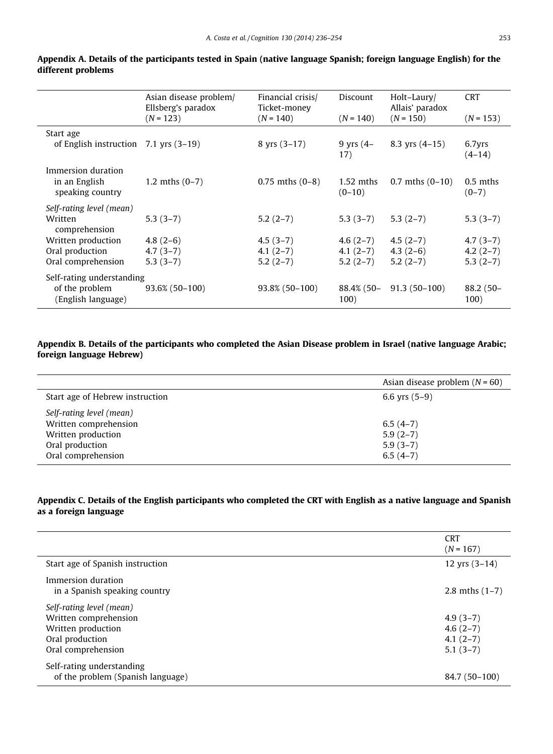|                                      | Asian disease problem/<br>Ellsberg's paradox | Financial crisis/<br>Ticket-money | Discount                    | Holt-Laury/<br>Allais' paradox | <b>CRT</b>            |
|--------------------------------------|----------------------------------------------|-----------------------------------|-----------------------------|--------------------------------|-----------------------|
|                                      | $(N = 123)$                                  | $(N = 140)$                       | $(N = 140)$                 | $(N = 150)$                    | $(N = 153)$           |
| Start age                            |                                              |                                   |                             |                                |                       |
| of English instruction               | 7.1 yrs $(3-19)$                             | 8 yrs $(3-17)$                    | $9 \text{ yrs} (4 -$<br>17) | 8.3 yrs $(4-15)$               | 6.7yrs<br>$(4-14)$    |
| Immersion duration                   |                                              |                                   |                             |                                |                       |
| in an English<br>speaking country    | 1.2 mths $(0-7)$                             | $0.75$ mths $(0-8)$               | $1.52$ mths<br>$(0-10)$     | $0.7$ mths $(0-10)$            | $0.5$ mths<br>$(0-7)$ |
| Self-rating level (mean)             |                                              |                                   |                             |                                |                       |
| Written<br>comprehension             | $5.3(3-7)$                                   | $5.2(2-7)$                        | $5.3(3-7)$                  | $5.3(2-7)$                     | $5.3(3-7)$            |
| Written production                   | $4.8(2-6)$                                   | $4.5(3-7)$                        | $4.6(2-7)$                  | $4.5(2-7)$                     | $4.7(3-7)$            |
| Oral production                      | $4.7(3-7)$                                   | $4.1(2-7)$                        | $4.1(2-7)$                  | $4.3(2-6)$                     | $4.2(2-7)$            |
| Oral comprehension                   | $5.3(3-7)$                                   | $5.2(2-7)$                        | $5.2(2-7)$                  | $5.2(2-7)$                     | $5.3(2-7)$            |
| Self-rating understanding            |                                              |                                   |                             |                                |                       |
| of the problem<br>(English language) | 93.6% (50-100)                               | 93.8% (50-100)                    | 88.4% (50–<br>100)          | $91.3(50-100)$                 | $88.2(50 -$<br>100)   |

# <span id="page-17-0"></span>Appendix A. Details of the participants tested in Spain (native language Spanish; foreign language English) for the different problems

# Appendix B. Details of the participants who completed the Asian Disease problem in Israel (native language Arabic; foreign language Hebrew)

|                                 | Asian disease problem $(N = 60)$ |
|---------------------------------|----------------------------------|
| Start age of Hebrew instruction | 6.6 yrs $(5-9)$                  |
| Self-rating level (mean)        |                                  |
| Written comprehension           | $6.5(4-7)$                       |
| Written production              | $5.9(2-7)$                       |
| Oral production                 | $5.9(3-7)$                       |
| Oral comprehension              | $6.5(4-7)$                       |

# Appendix C. Details of the English participants who completed the CRT with English as a native language and Spanish as a foreign language

|                                                                                                                  | <b>CRT</b><br>$(N = 167)$                            |
|------------------------------------------------------------------------------------------------------------------|------------------------------------------------------|
| Start age of Spanish instruction                                                                                 | 12 yrs $(3-14)$                                      |
| Immersion duration<br>in a Spanish speaking country                                                              | 2.8 mths $(1-7)$                                     |
| Self-rating level (mean)<br>Written comprehension<br>Written production<br>Oral production<br>Oral comprehension | $4.9(3-7)$<br>$4.6(2-7)$<br>$4.1(2-7)$<br>$5.1(3-7)$ |
| Self-rating understanding<br>of the problem (Spanish language)                                                   | 84.7 (50-100)                                        |